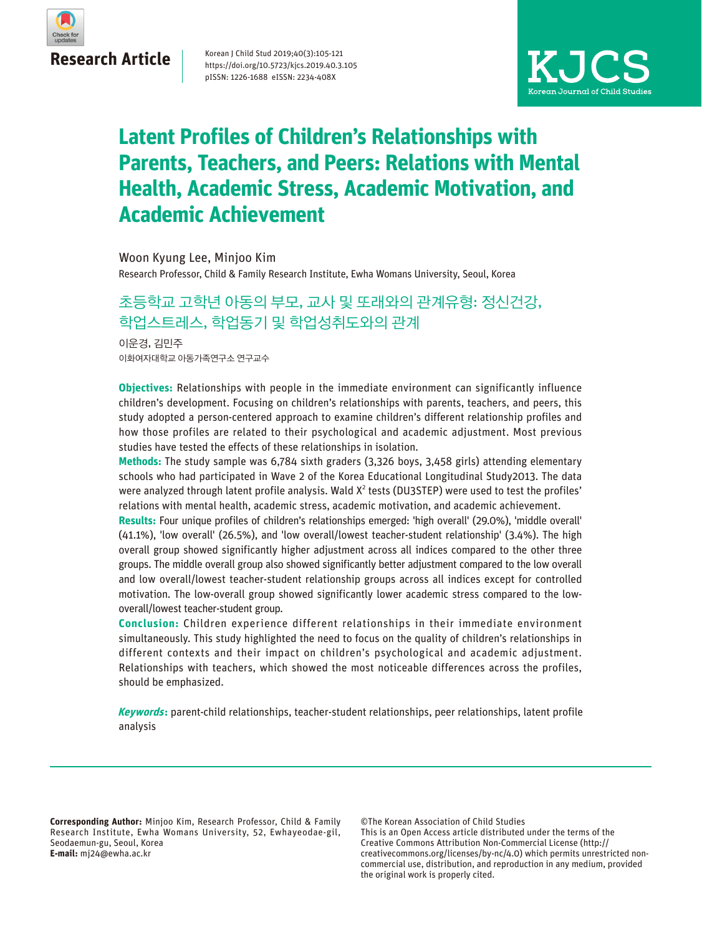

Korean J Child Stud 2019;40(3):105-121 https://doi.org/10.5723/kjcs.2019.40.3.105 pISSN: 1226-1688 eISSN: 2234-408X



## **Latent Profiles of Children's Relationships with Parents, Teachers, and Peers: Relations with Mental Health, Academic Stress, Academic Motivation, and Academic Achievement**

Woon Kyung Lee, Minjoo Kim

Research Professor, Child & Family Research Institute, Ewha Womans University, Seoul, Korea

## 초등학교 고학년 아동의 부모, 교사 및 또래와의 관계유형: 정신건강, 학업스트레스, 학업동기 및 학업성취도와의 관계

이화여자대학교 아동가족연구소 연구교수 이운경, 김민주

**Objectives:** Relationships with people in the immediate environment can significantly influence children's development. Focusing on children's relationships with parents, teachers, and peers, this study adopted a person-centered approach to examine children's different relationship profiles and how those profiles are related to their psychological and academic adjustment. Most previous studies have tested the effects of these relationships in isolation.

**Methods:** The study sample was 6,784 sixth graders (3,326 boys, 3,458 girls) attending elementary schools who had participated in Wave 2 of the Korea Educational Longitudinal Study2013. The data were analyzed through latent profile analysis. Wald  $X^2$  tests (DU3STEP) were used to test the profiles' relations with mental health, academic stress, academic motivation, and academic achievement.

**Results:** Four unique profiles of children's relationships emerged: 'high overall' (29.0%), 'middle overall' (41.1%), 'low overall' (26.5%), and 'low overall/lowest teacher-student relationship' (3.4%). The high overall group showed significantly higher adjustment across all indices compared to the other three groups. The middle overall group also showed significantly better adjustment compared to the low overall and low overall/lowest teacher-student relationship groups across all indices except for controlled motivation. The low-overall group showed significantly lower academic stress compared to the lowoverall/lowest teacher-student group.

**Conclusion:** Children experience different relationships in their immediate environment simultaneously. This study highlighted the need to focus on the quality of children's relationships in different contexts and their impact on children's psychological and academic adjustment. Relationships with teachers, which showed the most noticeable differences across the profiles, should be emphasized.

**Keywords:** parent-child relationships, teacher-student relationships, peer relationships, latent profile analysis

**Corresponding Author:** Minjoo Kim, Research Professor, Child & Family Research Institute, Ewha Womans University, 52, Ewhayeodae-gil, Seodaemun-gu, Seoul, Korea **E-mail:** mj24@ewha.ac.kr

©The Korean Association of Child Studies This is an Open Access article distributed under the terms of the Creative Commons Attribution Non-Commercial License (http:// creativecommons.org/licenses/by-nc/4.0) which permits unrestricted noncommercial use, distribution, and reproduction in any medium, provided the original work is properly cited.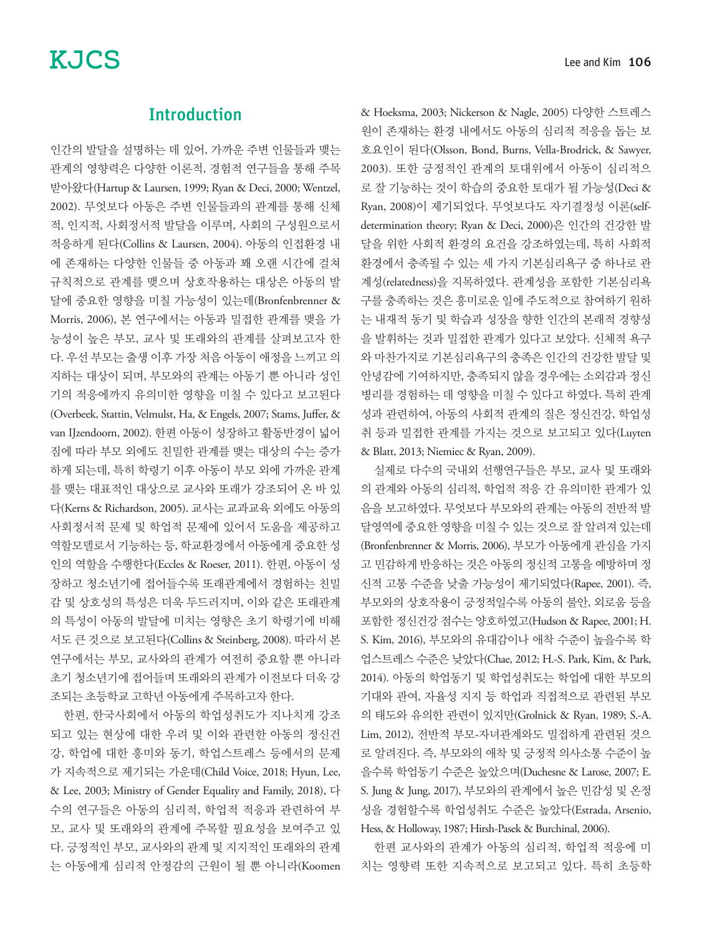## Introduction

인간의 발달을 설명하는 데 있어, 가까운 주변 인물들과 맺는 관계의 영향력은 다양한 이론적, 경험적 연구들을 통해 주목 받아왔다(Hartup & Laursen, 1999; Ryan & Deci, 2000; Wentzel, 2002). 무엇보다 아동은 주변 인물들과의 관계를 통해 신체 적, 인지적, 사회정서적 발달을 이루며, 사회의 구성원으로서 적응하게 된다(Collins & Laursen, 2004). 아동의 인접환경 내 에 존재하는 다양한 인물들 중 아동과 꽤 오랜 시간에 걸쳐 규칙적으로 관계를 맺으며 상호작용하는 대상은 아동의 발 달에 중요한 영향을 미칠 가능성이 있는데(Bronfenbrenner & Morris, 2006), 본 연구에서는 아동과 밀접한 관계를 맺을 가 능성이 높은 부모, 교사 및 또래와의 관계를 살펴보고자 한 다. 우선 부모는 출생 이후 가장 처음 아동이 애정을 느끼고 의 지하는 대상이 되며, 부모와의 관계는 아동기 뿐 아니라 성인 기의 적응에까지 유의미한 영향을 미칠 수 있다고 보고된다 (Overbeek, Stattin, Velmulst, Ha, & Engels, 2007; Stams, Juffer, & van IJzendoorn, 2002). 한편 아동이 성장하고 활동반경이 넓어 짐에 따라 부모 외에도 친밀한 관계를 맺는 대상의 수는 증가 하게 되는데, 특히 학령기 이후 아동이 부모 외에 가까운 관계 를 맺는 대표적인 대상으로 교사와 또래가 강조되어 온 바 있 다(Kerns & Richardson, 2005). 교사는 교과교육 외에도 아동의 사회정서적 문제 및 학업적 문제에 있어서 도움을 제공하고 역할모델로서 기능하는 등, 학교환경에서 아동에게 중요한 성 인의 역할을 수행한다(Eccles & Roeser, 2011). 한편, 아동이 성 장하고 청소년기에 접어들수록 또래관계에서 경험하는 친밀 감 및 상호성의 특성은 더욱 두드러지며, 이와 같은 또래관계 의 특성이 아동의 발달에 미치는 영향은 초기 학령기에 비해 서도 큰 것으로 보고된다(Collins & Steinberg, 2008). 따라서 본 연구에서는 부모, 교사와의 관계가 여전히 중요할 뿐 아니라 초기 청소년기에 접어들며 또래와의 관계가 이전보다 더욱 강 조되는 초등학교 고학년 아동에게 주목하고자 한다.

한편, 한국사회에서 아동의 학업성취도가 지나치게 강조 되고 있는 현상에 대한 우려 및 이와 관련한 아동의 정신건 강, 학업에 대한 흥미와 동기, 학업스트레스 등에서의 문제 가 지속적으로 제기되는 가운데(Child Voice, 2018; Hyun, Lee, & Lee, 2003; Ministry of Gender Equality and Family, 2018), 다 수의 연구들은 아동의 심리적, 학업적 적응과 관련하여 부 모, 교사 및 또래와의 관계에 주목할 필요성을 보여주고 있 다. 긍정적인 부모, 교사와의 관계 및 지지적인 또래와의 관계 는 아동에게 심리적 안정감의 근원이 될 뿐 아니라(Koomen & Hoeksma, 2003; Nickerson & Nagle, 2005) 다양한 스트레스 원이 존재하는 환경 내에서도 아동의 심리적 적응을 돕는 보 호요인이 된다(Olsson, Bond, Burns, Vella-Brodrick, & Sawyer, 2003). 또한 긍정적인 관계의 토대위에서 아동이 심리적으 로 잘 기능하는 것이 학습의 중요한 토대가 될 가능성(Deci & Ryan, 2008)이 제기되었다. 무엇보다도 자기결정성 이론(selfdetermination theory; Ryan & Deci, 2000)은 인간의 건강한 발 달을 위한 사회적 환경의 요건을 강조하였는데, 특히 사회적 환경에서 충족될 수 있는 세 가지 기본심리욕구 중 하나로 관 계성(relatedness)을 지목하였다. 관계성을 포함한 기본심리욕 구를 충족하는 것은 흥미로운 일에 주도적으로 참여하기 원하 는 내재적 동기 및 학습과 성장을 향한 인간의 본래적 경향성 을 발휘하는 것과 밀접한 관계가 있다고 보았다. 신체적 욕구 와 마찬가지로 기본심리욕구의 충족은 인간의 건강한 발달 및 안녕감에 기여하지만, 충족되지 않을 경우에는 소외감과 정신 병리를 경험하는 데 영향을 미칠 수 있다고 하였다. 특히 관계 성과 관련하여, 아동의 사회적 관계의 질은 정신건강, 학업성 취 등과 밀접한 관계를 가지는 것으로 보고되고 있다(Luyten & Blatt, 2013; Niemiec & Ryan, 2009).

실제로 다수의 국내외 선행연구들은 부모, 교사 및 또래와 의 관계와 아동의 심리적, 학업적 적응 간 유의미한 관계가 있 음을 보고하였다. 무엇보다 부모와의 관계는 아동의 전반적 발 달영역에 중요한 영향을 미칠 수 있는 것으로 잘 알려져 있는데 (Bronfenbrenner & Morris, 2006), 부모가 아동에게 관심을 가지 고 민감하게 반응하는 것은 아동의 정신적 고통을 예방하며 정 신적 고통 수준을 낮출 가능성이 제기되었다(Rapee, 2001). 즉, 부모와의 상호작용이 긍정적일수록 아동의 불안, 외로움 등을 포함한 정신건강 점수는 양호하였고(Hudson & Rapee, 2001; H. S. Kim, 2016), 부모와의 유대감이나 애착 수준이 높을수록 학 업스트레스 수준은 낮았다(Chae, 2012; H.-S. Park, Kim, & Park, 2014). 아동의 학업동기 및 학업성취도는 학업에 대한 부모의 기대와 관여, 자율성 지지 등 학업과 직접적으로 관련된 부모 의 태도와 유의한 관련이 있지만(Grolnick & Ryan, 1989; S.-A. Lim, 2012), 전반적 부모-자녀관계와도 밀접하게 관련된 것으 로 알려진다. 즉, 부모와의 애착 및 긍정적 의사소통 수준이 높 을수록 학업동기 수준은 높았으며(Duchesne & Larose, 2007; E. S. Jung & Jung, 2017), 부모와의 관계에서 높은 민감성 및 온정 성을 경험할수록 학업성취도 수준은 높았다(Estrada, Arsenio, Hess, & Holloway, 1987; Hirsh-Pasek & Burchinal, 2006).

한편 교사와의 관계가 아동의 심리적, 학업적 적응에 미 치는 영향력 또한 지속적으로 보고되고 있다. 특히 초등학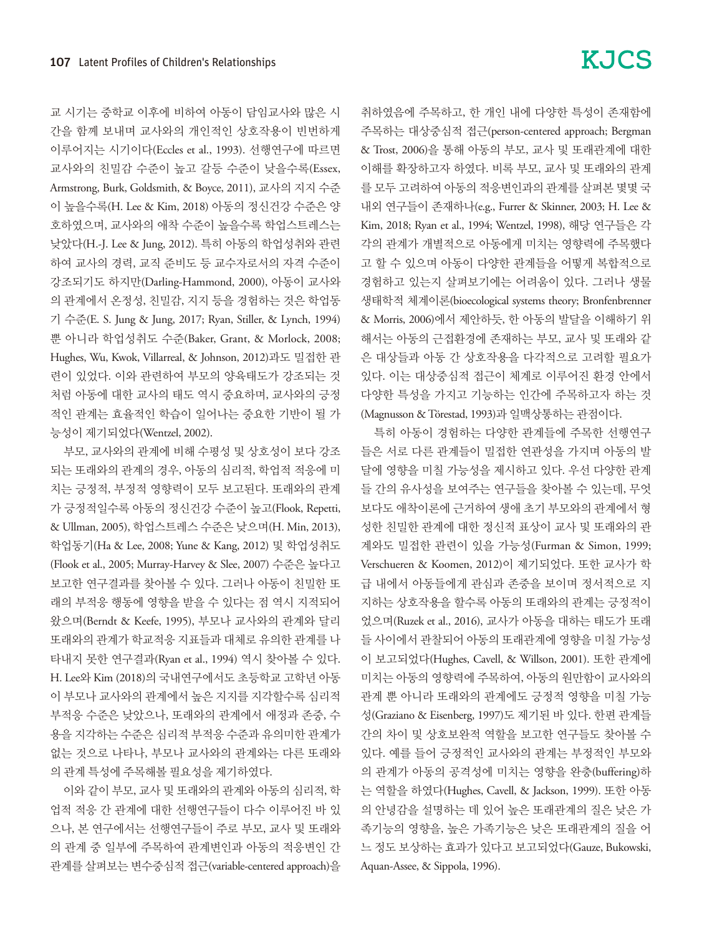교 시기는 중학교 이후에 비하여 아동이 담임교사와 많은 시 간을 함께 보내며 교사와의 개인적인 상호작용이 빈번하게 이루어지는 시기이다(Eccles et al., 1993). 선행연구에 따르면 교사와의 친밀감 수준이 높고 갈등 수준이 낮을수록(Essex, Armstrong, Burk, Goldsmith, & Boyce, 2011), 교사의 지지 수준 이 높을수록(H. Lee & Kim, 2018) 아동의 정신건강 수준은 양 호하였으며, 교사와의 애착 수준이 높을수록 학업스트레스는 낮았다(H.-J. Lee & Jung, 2012). 특히 아동의 학업성취와 관련 하여 교사의 경력, 교직 준비도 등 교수자로서의 자격 수준이 강조되기도 하지만(Darling-Hammond, 2000), 아동이 교사와 의 관계에서 온정성, 친밀감, 지지 등을 경험하는 것은 학업동 기 수준(E. S. Jung & Jung, 2017; Ryan, Stiller, & Lynch, 1994) 뿐 아니라 학업성취도 수준(Baker, Grant, & Morlock, 2008; Hughes, Wu, Kwok, Villarreal, & Johnson, 2012)과도 밀접한 관 련이 있었다. 이와 관련하여 부모의 양육태도가 강조되는 것 처럼 아동에 대한 교사의 태도 역시 중요하며, 교사와의 긍정 적인 관계는 효율적인 학습이 일어나는 중요한 기반이 될 가 능성이 제기되었다(Wentzel, 2002).

부모, 교사와의 관계에 비해 수평성 및 상호성이 보다 강조 되는 또래와의 관계의 경우, 아동의 심리적, 학업적 적응에 미 치는 긍정적, 부정적 영향력이 모두 보고된다. 또래와의 관계 가 긍정적일수록 아동의 정신건강 수준이 높고(Flook, Repetti, & Ullman, 2005), 학업스트레스 수준은 낮으며(H. Min, 2013), 학업동기(Ha & Lee, 2008; Yune & Kang, 2012) 및 학업성취도 (Flook et al., 2005; Murray-Harvey & Slee, 2007) 수준은 높다고 보고한 연구결과를 찾아볼 수 있다. 그러나 아동이 친밀한 또 래의 부적응 행동에 영향을 받을 수 있다는 점 역시 지적되어 왔으며(Berndt & Keefe, 1995), 부모나 교사와의 관계와 달리 또래와의 관계가 학교적응 지표들과 대체로 유의한 관계를 나 타내지 못한 연구결과(Ryan et al., 1994) 역시 찾아볼 수 있다. H. Lee와 Kim (2018)의 국내연구에서도 초등학교 고학년 아동 이 부모나 교사와의 관계에서 높은 지지를 지각할수록 심리적 부적응 수준은 낮았으나, 또래와의 관계에서 애정과 존중, 수 용을 지각하는 수준은 심리적 부적응 수준과 유의미한 관계가 없는 것으로 나타나, 부모나 교사와의 관계와는 다른 또래와 의 관계 특성에 주목해볼 필요성을 제기하였다.

이와 같이 부모, 교사 및 또래와의 관계와 아동의 심리적, 학 업적 적응 간 관계에 대한 선행연구들이 다수 이루어진 바 있 으나, 본 연구에서는 선행연구들이 주로 부모, 교사 및 또래와 의 관계 중 일부에 주목하여 관계변인과 아동의 적응변인 간 관계를 살펴보는 변수중심적 접근(variable-centered approach)을 취하였음에 주목하고, 한 개인 내에 다양한 특성이 존재함에 주목하는 대상중심적 접근(person-centered approach; Bergman & Trost, 2006)을 통해 아동의 부모, 교사 및 또래관계에 대한 이해를 확장하고자 하였다. 비록 부모, 교사 및 또래와의 관계 를 모두 고려하여 아동의 적응변인과의 관계를 살펴본 몇몇 국 내외 연구들이 존재하나(e.g., Furrer & Skinner, 2003; H. Lee & Kim, 2018; Ryan et al., 1994; Wentzel, 1998), 해당 연구들은 각 각의 관계가 개별적으로 아동에게 미치는 영향력에 주목했다 고 할 수 있으며 아동이 다양한 관계들을 어떻게 복합적으로 경험하고 있는지 살펴보기에는 어려움이 있다. 그러나 생물 생태학적 체계이론(bioecological systems theory; Bronfenbrenner & Morris, 2006)에서 제안하듯, 한 아동의 발달을 이해하기 위 해서는 아동의 근접환경에 존재하는 부모, 교사 및 또래와 같 은 대상들과 아동 간 상호작용을 다각적으로 고려할 필요가 있다. 이는 대상중심적 접근이 체계로 이루어진 환경 안에서 다양한 특성을 가지고 기능하는 인간에 주목하고자 하는 것 (Magnusson & Törestad, 1993)과 일맥상통하는 관점이다.

특히 아동이 경험하는 다양한 관계들에 주목한 선행연구 들은 서로 다른 관계들이 밀접한 연관성을 가지며 아동의 발 달에 영향을 미칠 가능성을 제시하고 있다. 우선 다양한 관계 들 간의 유사성을 보여주는 연구들을 찾아볼 수 있는데, 무엇 보다도 애착이론에 근거하여 생애 초기 부모와의 관계에서 형 성한 친밀한 관계에 대한 정신적 표상이 교사 및 또래와의 관 계와도 밀접한 관련이 있을 가능성(Furman & Simon, 1999; Verschueren & Koomen, 2012)이 제기되었다. 또한 교사가 학 급 내에서 아동들에게 관심과 존중을 보이며 정서적으로 지 지하는 상호작용을 할수록 아동의 또래와의 관계는 긍정적이 었으며(Ruzek et al., 2016), 교사가 아동을 대하는 태도가 또래 들 사이에서 관찰되어 아동의 또래관계에 영향을 미칠 가능성 이 보고되었다(Hughes, Cavell, & Willson, 2001). 또한 관계에 미치는 아동의 영향력에 주목하여, 아동의 원만함이 교사와의 관계 뿐 아니라 또래와의 관계에도 긍정적 영향을 미칠 가능 성(Graziano & Eisenberg, 1997)도 제기된 바 있다. 한편 관계들 간의 차이 및 상호보완적 역할을 보고한 연구들도 찾아볼 수 있다. 예를 들어 긍정적인 교사와의 관계는 부정적인 부모와 의 관계가 아동의 공격성에 미치는 영향을 완충(buffering)하 는 역할을 하였다(Hughes, Cavell, & Jackson, 1999). 또한 아동 의 안녕감을 설명하는 데 있어 높은 또래관계의 질은 낮은 가 족기능의 영향을, 높은 가족기능은 낮은 또래관계의 질을 어 느 정도 보상하는 효과가 있다고 보고되었다(Gauze, Bukowski, Aquan-Assee, & Sippola, 1996).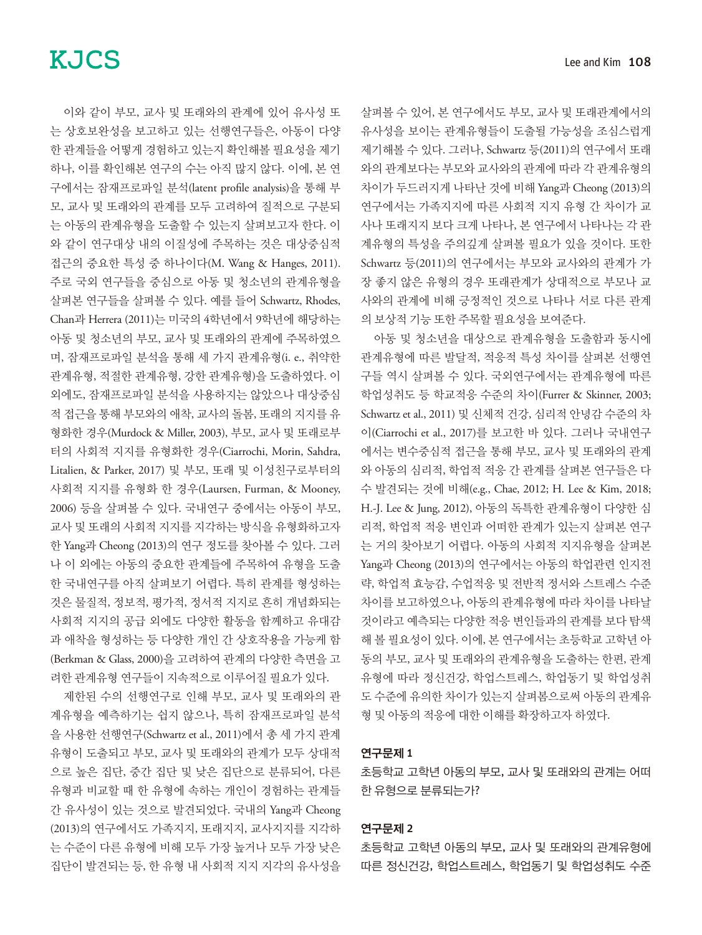이와 같이 부모, 교사 및 또래와의 관계에 있어 유사성 또 는 상호보완성을 보고하고 있는 선행연구들은, 아동이 다양 한 관계들을 어떻게 경험하고 있는지 확인해볼 필요성을 제기 하나, 이를 확인해본 연구의 수는 아직 많지 않다. 이에, 본 연 구에서는 잠재프로파일 분석(latent profile analysis)을 통해 부 모, 교사 및 또래와의 관계를 모두 고려하여 질적으로 구분되 는 아동의 관계유형을 도출할 수 있는지 살펴보고자 한다. 이 와 같이 연구대상 내의 이질성에 주목하는 것은 대상중심적 접근의 중요한 특성 중 하나이다(M. Wang & Hanges, 2011). 주로 국외 연구들을 중심으로 아동 및 청소년의 관계유형을 살펴본 연구들을 살펴볼 수 있다. 예를 들어 Schwartz, Rhodes, Chan과 Herrera (2011)는 미국의 4학년에서 9학년에 해당하는 아동 및 청소년의 부모, 교사 및 또래와의 관계에 주목하였으 며, 잠재프로파일 분석을 통해 세 가지 관계유형(i. e., 취약한 관계유형, 적절한 관계유형, 강한 관계유형)을 도출하였다. 이 외에도, 잠재프로파일 분석을 사용하지는 않았으나 대상중심 적 접근을 통해 부모와의 애착, 교사의 돌봄, 또래의 지지를 유 형화한 경우(Murdock & Miller, 2003), 부모, 교사 및 또래로부 터의 사회적 지지를 유형화한 경우(Ciarrochi, Morin, Sahdra, Litalien, & Parker, 2017) 및 부모, 또래 및 이성친구로부터의 사회적 지지를 유형화 한 경우(Laursen, Furman, & Mooney, 2006) 등을 살펴볼 수 있다. 국내연구 중에서는 아동이 부모, 교사 및 또래의 사회적 지지를 지각하는 방식을 유형화하고자 한 Yang과 Cheong (2013)의 연구 정도를 찾아볼 수 있다. 그러 나 이 외에는 아동의 중요한 관계들에 주목하여 유형을 도출 한 국내연구를 아직 살펴보기 어렵다. 특히 관계를 형성하는 것은 물질적, 정보적, 평가적, 정서적 지지로 흔히 개념화되는 사회적 지지의 공급 외에도 다양한 활동을 함께하고 유대감 과 애착을 형성하는 등 다양한 개인 간 상호작용을 가능케 함 (Berkman & Glass, 2000)을 고려하여 관계의 다양한 측면을 고 려한 관계유형 연구들이 지속적으로 이루어질 필요가 있다.

제한된 수의 선행연구로 인해 부모, 교사 및 또래와의 관 계유형을 예측하기는 쉽지 않으나, 특히 잠재프로파일 분석 을 사용한 선행연구(Schwartz et al., 2011)에서 총 세 가지 관계 유형이 도출되고 부모, 교사 및 또래와의 관계가 모두 상대적 으로 높은 집단, 중간 집단 및 낮은 집단으로 분류되어, 다른 유형과 비교할 때 한 유형에 속하는 개인이 경험하는 관계들 간 유사성이 있는 것으로 발견되었다. 국내의 Yang과 Cheong (2013)의 연구에서도 가족지지, 또래지지, 교사지지를 지각하 는 수준이 다른 유형에 비해 모두 가장 높거나 모두 가장 낮은 집단이 발견되는 등, 한 유형 내 사회적 지지 지각의 유사성을

살펴볼 수 있어, 본 연구에서도 부모, 교사 및 또래관계에서의 유사성을 보이는 관계유형들이 도출될 가능성을 조심스럽게 제기해볼 수 있다. 그러나, Schwartz 등(2011)의 연구에서 또래 와의 관계보다는 부모와 교사와의 관계에 따라 각 관계유형의 차이가 두드러지게 나타난 것에 비해 Yang과 Cheong (2013)의 연구에서는 가족지지에 따른 사회적 지지 유형 간 차이가 교 사나 또래지지 보다 크게 나타나, 본 연구에서 나타나는 각 관 계유형의 특성을 주의깊게 살펴볼 필요가 있을 것이다. 또한 Schwartz 등(2011)의 연구에서는 부모와 교사와의 관계가 가 장 좋지 않은 유형의 경우 또래관계가 상대적으로 부모나 교 사와의 관계에 비해 긍정적인 것으로 나타나 서로 다른 관계 의 보상적 기능 또한 주목할 필요성을 보여준다.

아동 및 청소년을 대상으로 관계유형을 도출함과 동시에 관계유형에 따른 발달적, 적응적 특성 차이를 살펴본 선행연 구들 역시 살펴볼 수 있다. 국외연구에서는 관계유형에 따른 학업성취도 등 학교적응 수준의 차이(Furrer & Skinner, 2003; Schwartz et al., 2011) 및 신체적 건강, 심리적 안녕감 수준의 차 이(Ciarrochi et al., 2017)를 보고한 바 있다. 그러나 국내연구 에서는 변수중심적 접근을 통해 부모, 교사 및 또래와의 관계 와 아동의 심리적, 학업적 적응 간 관계를 살펴본 연구들은 다 수 발견되는 것에 비해(e.g., Chae, 2012; H. Lee & Kim, 2018; H.-J. Lee & Jung, 2012), 아동의 독특한 관계유형이 다양한 심 리적, 학업적 적응 변인과 어떠한 관계가 있는지 살펴본 연구 는 거의 찾아보기 어렵다. 아동의 사회적 지지유형을 살펴본 Yang과 Cheong (2013)의 연구에서는 아동의 학업관련 인지전 략, 학업적 효능감, 수업적응 및 전반적 정서와 스트레스 수준 차이를 보고하였으나, 아동의 관계유형에 따라 차이를 나타날 것이라고 예측되는 다양한 적응 변인들과의 관계를 보다 탐색 해 볼 필요성이 있다. 이에, 본 연구에서는 초등학교 고학년 아 동의 부모, 교사 및 또래와의 관계유형을 도출하는 한편, 관계 유형에 따라 정신건강, 학업스트레스, 학업동기 및 학업성취 도 수준에 유의한 차이가 있는지 살펴봄으로써 아동의 관계유 형 및 아동의 적응에 대한 이해를 확장하고자 하였다.

#### 연구문제 1

초등학교 고학년 아동의 부모, 교사 및 또래와의 관계는 어떠 한 유형으로 분류되는가?

#### 연구문제 2

초등학교 고학년 아동의 부모, 교사 및 또래와의 관계유형에 따른 정신건강, 학업스트레스, 학업동기 및 학업성취도 수준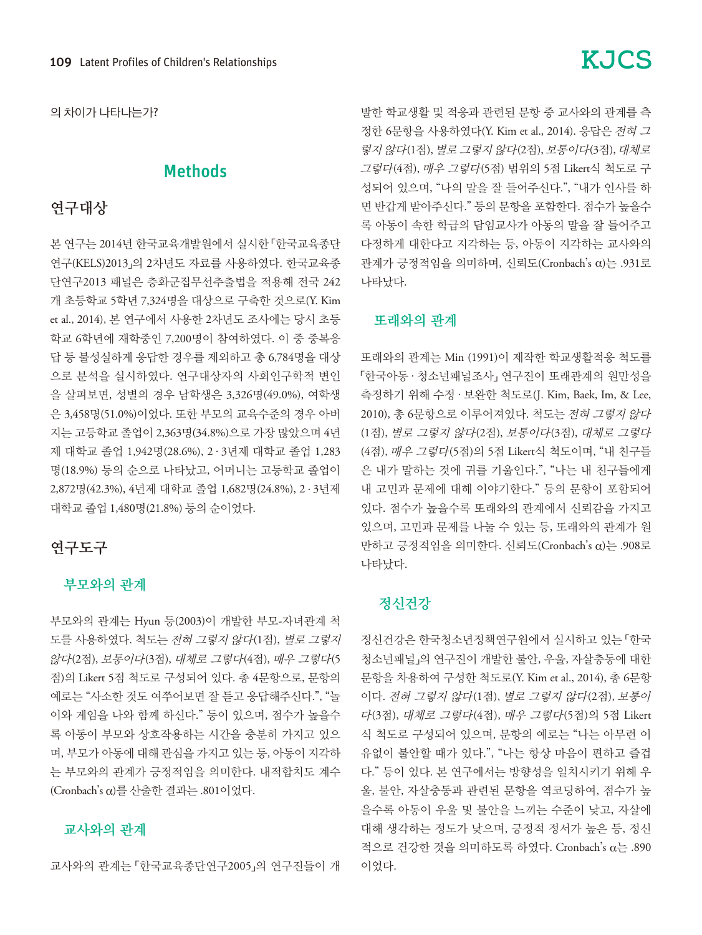의 차이가 나타나는가?

#### Methods

## 연구대상

본 연구는 2014년 한국교육개발원에서 실시한 「한국교육종단 연구(KELS)2013」의 2차년도 자료를 사용하였다. 한국교육종 단연구2013 패널은 층화군집무선추출법을 적용해 전국 242 개 초등학교 5학년 7,324명을 대상으로 구축한 것으로(Y. Kim et al., 2014), 본 연구에서 사용한 2차년도 조사에는 당시 초등 학교 6학년에 재학중인 7,200명이 참여하였다. 이 중 중복응 답 등 불성실하게 응답한 경우를 제외하고 총 6,784명을 대상 으로 분석을 실시하였다. 연구대상자의 사회인구학적 변인 을 살펴보면, 성별의 경우 남학생은 3,326명(49.0%), 여학생 은 3,458명(51.0%)이었다. 또한 부모의 교육수준의 경우 아버 지는 고등학교 졸업이 2,363명(34.8%)으로 가장 많았으며 4년 제 대학교 졸업 1,942명(28.6%), 2 · 3년제 대학교 졸업 1,283 명(18.9%) 등의 순으로 나타났고, 어머니는 고등학교 졸업이 2,872명(42.3%), 4년제 대학교 졸업 1,682명(24.8%), 2 · 3년제 대학교 졸업 1,480명(21.8%) 등의 순이었다.

#### 연구도구

#### 부모와의 관계

부모와의 관계는 Hyun 등(2003)이 개발한 부모-자녀관계 척 도를 사용하였다. 척도는 전혀 그렇지 않다(1점), 별로 그렇지 않다(2점), 보통이다(3점), 대체로 그렇다(4점), 매우 그렇다(5 점)의 Likert 5점 척도로 구성되어 있다. 총 4문항으로, 문항의 예로는 "사소한 것도 여쭈어보면 잘 듣고 응답해주신다.", "놀 이와 게임을 나와 함께 하신다." 등이 있으며, 점수가 높을수 록 아동이 부모와 상호작용하는 시간을 충분히 가지고 있으 며, 부모가 아동에 대해 관심을 가지고 있는 등, 아동이 지각하 는 부모와의 관계가 긍정적임을 의미한다. 내적합치도 계수 (Cronbach's α)를 산출한 결과는 .801이었다.

#### 교사와의 관계

교사와의 관계는 「한국교육종단연구2005」의 연구진들이 개

# 발한 학교생활 및 적응과 관련된 문항 중 교사와의 관계를 측 정한 6문항을 사용하였다(Y. Kim et al., 2014). 응답은 전혀 <sup>그</sup> 렇지 않다(1점), 별로 그렇지 않다(2점), 보통이다(3점), 대체로

그렇다(4점), 매우 그렇다(5점) 범위의 5점 Likert식 척도로 구 성되어 있으며, "나의 말을 잘 들어주신다.", "내가 인사를 하 면 반갑게 받아주신다." 등의 문항을 포함한다. 점수가 높을수 록 아동이 속한 학급의 담임교사가 아동의 말을 잘 들어주고 다정하게 대한다고 지각하는 등, 아동이 지각하는 교사와의 관계가 긍정적임을 의미하며, 신뢰도(Cronbach's α)는 .931로 나타났다.

#### 또래와의 관계

또래와의 관계는 Min (1991)이 제작한 학교생활적응 척도를 「한국아동 · 청소년패널조사」 연구진이 또래관계의 원만성을 측정하기 위해 수정 · 보완한 척도로(J. Kim, Baek, Im, & Lee, 2010), 총 6문항으로 이루어져있다. 척도는 전혀 그렇지 않다 (1점), 별로 그렇지 않다(2점), 보통이다(3점), 대체로 그렇다 (4점), 매우 그렇다(5점)의 5점 Likert식 척도이며, "내 친구들 은 내가 말하는 것에 귀를 기울인다.", "나는 내 친구들에게 내 고민과 문제에 대해 이야기한다." 등의 문항이 포함되어 있다. 점수가 높을수록 또래와의 관계에서 신뢰감을 가지고 있으며, 고민과 문제를 나눌 수 있는 등, 또래와의 관계가 원 만하고 긍정적임을 의미한다. 신뢰도(Cronbach's α)는 .908로 나타났다.

### 정신건강

정신건강은 한국청소년정책연구원에서 실시하고 있는 「한국 청소년패널」의 연구진이 개발한 불안, 우울, 자살충동에 대한 문항을 차용하여 구성한 척도로(Y. Kim et al., 2014), 총 6문항 이다. 전혀 그렇지 않다(1점), 별로 그렇지 않다(2점), 보통이 다(3점), 대체로 그렇다(4점), 매우 그렇다(5점)의 5점 Likert 식 척도로 구성되어 있으며, 문항의 예로는 "나는 아무런 이 유없이 불안할 때가 있다.", "나는 항상 마음이 편하고 즐겁 다." 등이 있다. 본 연구에서는 방향성을 일치시키기 위해 우 울, 불안, 자살충동과 관련된 문항을 역코딩하여, 점수가 높 을수록 아동이 우울 및 불안을 느끼는 수준이 낮고, 자살에 대해 생각하는 정도가 낮으며, 긍정적 정서가 높은 등, 정신 적으로 건강한 것을 의미하도록 하였다. Cronbach's α는 .890 이었다.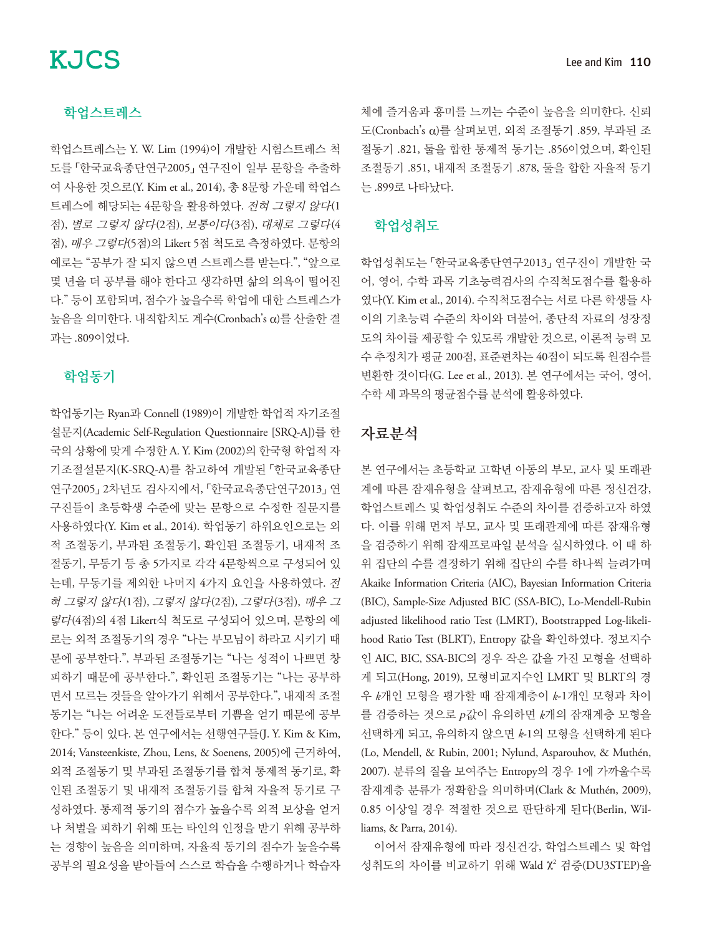#### 학업스트레스

학업스트레스는 Y. W. Lim (1994)이 개발한 시험스트레스 척 도를 「한국교육종단연구2005」 연구진이 일부 문항을 추출하 여 사용한 것으로(Y. Kim et al., 2014), 총 8문항 가운데 학업스 트레스에 해당되는 4문항을 활용하였다. 전혀 그렇지 않다(1 점), 별로 그렇지 않다(2점), 보통이다(3점), 대체로 그렇다(4 점), 매우 그렇다(5점)의 Likert 5점 척도로 측정하였다. 문항의 예로는 "공부가 잘 되지 않으면 스트레스를 받는다.", "앞으로 몇 년을 더 공부를 해야 한다고 생각하면 삶의 의욕이 떨어진 다." 등이 포함되며, 점수가 높을수록 학업에 대한 스트레스가 높음을 의미한다. 내적합치도 계수(Cronbach's α)를 산출한 결 과는 .809이었다.

#### 학업동기

학업동기는 Ryan과 Connell (1989)이 개발한 학업적 자기조절 설문지(Academic Self-Regulation Questionnaire [SRQ-A])를 한 국의 상황에 맞게 수정한 A. Y. Kim (2002)의 한국형 학업적 자 기조절설문지(K-SRQ-A)를 참고하여 개발된 「한국교육종단 연구2005」 2차년도 검사지에서, 「한국교육종단연구2013」 연 구진들이 초등학생 수준에 맞는 문항으로 수정한 질문지를 사용하였다(Y. Kim et al., 2014). 학업동기 하위요인으로는 외 적 조절동기, 부과된 조절동기, 확인된 조절동기, 내재적 조 절동기, 무동기 등 총 5가지로 각각 4문항씩으로 구성되어 있 는데, 무동기를 제외한 나머지 4가지 요인을 사용하였다. 전 혀 그렇지 않다(1점), 그렇지 않다(2점), 그렇다(3점), 매우 <sup>그</sup> 렇다(4점)의 4점 Likert식 척도로 구성되어 있으며, 문항의 예 로는 외적 조절동기의 경우 "나는 부모님이 하라고 시키기 때 문에 공부한다.", 부과된 조절동기는 "나는 성적이 나쁘면 창 피하기 때문에 공부한다.", 확인된 조절동기는 "나는 공부하 면서 모르는 것들을 알아가기 위해서 공부한다.", 내재적 조절 동기는 "나는 어려운 도전들로부터 기쁨을 얻기 때문에 공부 한다." 등이 있다. 본 연구에서는 선행연구들(J. Y. Kim & Kim, 2014; Vansteenkiste, Zhou, Lens, & Soenens, 2005)에 근거하여, 외적 조절동기 및 부과된 조절동기를 합쳐 통제적 동기로, 확 인된 조절동기 및 내재적 조절동기를 합쳐 자율적 동기로 구 성하였다. 통제적 동기의 점수가 높을수록 외적 보상을 얻거 나 처벌을 피하기 위해 또는 타인의 인정을 받기 위해 공부하 는 경향이 높음을 의미하며, 자율적 동기의 점수가 높을수록 공부의 필요성을 받아들여 스스로 학습을 수행하거나 학습자

체에 즐거움과 흥미를 느끼는 수준이 높음을 의미한다. 신뢰 도(Cronbach's α)를 살펴보면, 외적 조절동기 .859, 부과된 조 절동기 .821, 둘을 합한 통제적 동기는 .856이었으며, 확인된 조절동기 .851, 내재적 조절동기 .878, 둘을 합한 자율적 동기 는 .899로 나타났다.

#### 학업성취도

학업성취도는 「한국교육종단연구2013」 연구진이 개발한 국 어, 영어, 수학 과목 기초능력검사의 수직척도점수를 활용하 였다(Y. Kim et al., 2014). 수직척도점수는 서로 다른 학생들 사 이의 기초능력 수준의 차이와 더불어, 종단적 자료의 성장정 도의 차이를 제공할 수 있도록 개발한 것으로, 이론적 능력 모 수 추정치가 평균 200점, 표준편차는 40점이 되도록 원점수를 변환한 것이다(G. Lee et al., 2013). 본 연구에서는 국어, 영어, 수학 세 과목의 평균점수를 분석에 활용하였다.

### 자료분석

본 연구에서는 초등학교 고학년 아동의 부모, 교사 및 또래관 계에 따른 잠재유형을 살펴보고, 잠재유형에 따른 정신건강, 학업스트레스 및 학업성취도 수준의 차이를 검증하고자 하였 다. 이를 위해 먼저 부모, 교사 및 또래관계에 따른 잠재유형 을 검증하기 위해 잠재프로파일 분석을 실시하였다. 이 때 하 위 집단의 수를 결정하기 위해 집단의 수를 하나씩 늘려가며 Akaike Information Criteria (AIC), Bayesian Information Criteria (BIC), Sample-Size Adjusted BIC (SSA-BIC), Lo-Mendell-Rubin adjusted likelihood ratio Test (LMRT), Bootstrapped Log-likelihood Ratio Test (BLRT), Entropy 값을 확인하였다. 정보지수 인 AIC, BIC, SSA-BIC의 경우 작은 값을 가진 모형을 선택하 게 되고(Hong, 2019), 모형비교지수인 LMRT 및 BLRT의 경 우 *k*개인 모형을 평가할 때 잠재계층이 *k*-1개인 모형과 차이 를 검증하는 것으로 <sup>p</sup>값이 유의하면 *k*개의 잠재계층 모형을 선택하게 되고, 유의하지 않으면 *k*-1의 모형을 선택하게 된다 (Lo, Mendell, & Rubin, 2001; Nylund, Asparouhov, & Muthén, 2007). 분류의 질을 보여주는 Entropy의 경우 1에 가까울수록 잠재계층 분류가 정확함을 의미하며(Clark & Muthén, 2009), 0.85 이상일 경우 적절한 것으로 판단하게 된다(Berlin, Williams, & Parra, 2014).

이어서 잠재유형에 따라 정신건강, 학업스트레스 및 학업 성취도의 차이를 비교하기 위해 Wald χ<sup>2</sup> 검증(DU3STEP)을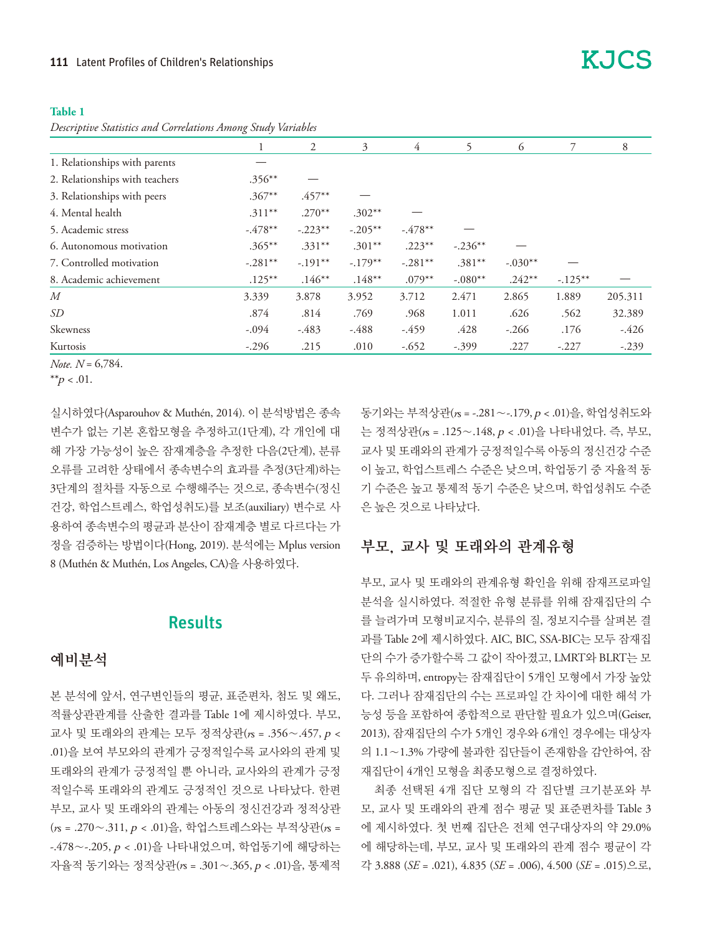#### **Table 1**

*Descriptive Statistics and Correlations Among Study Variables*

|                                |            | 2         | 3          | 4          | 5          | 6         |            | 8       |
|--------------------------------|------------|-----------|------------|------------|------------|-----------|------------|---------|
| 1. Relationships with parents  |            |           |            |            |            |           |            |         |
| 2. Relationships with teachers | $.356***$  |           |            |            |            |           |            |         |
| 3. Relationships with peers    | $.367**$   | $.457**$  |            |            |            |           |            |         |
| 4. Mental health               | $.311***$  | $.270**$  | $.302**$   |            |            |           |            |         |
| 5. Academic stress             | $-.478**$  | $-.223**$ | $-.205***$ | $-.478**$  |            |           |            |         |
| 6. Autonomous motivation       | $.365***$  | $.331**$  | $.301**$   | $.223**$   | $-.236***$ |           |            |         |
| 7. Controlled motivation       | $-.281***$ | $-.191**$ | $-.179**$  | $-.281***$ | $.381**$   | $-.030**$ |            |         |
| 8. Academic achievement        | $.125***$  | $.146**$  | $.148***$  | $.079**$   | $-.080**$  | $.242**$  | $-.125***$ |         |
| M                              | 3.339      | 3.878     | 3.952      | 3.712      | 2.471      | 2.865     | 1.889      | 205.311 |
| SD                             | .874       | .814      | .769       | .968       | 1.011      | .626      | .562       | 32.389  |
| Skewness                       | $-.094$    | $-483$    | $-488$     | $-459$     | .428       | $-.266$   | .176       | $-426$  |
| Kurtosis                       | $-.296$    | .215      | .010       | $-.652$    | $-.399$    | .227      | $-.227$    | $-.239$ |

*Note. N* = 6,784.

\*\* $p < .01$ .

실시하였다(Asparouhov & Muthén, 2014). 이 분석방법은 종속 변수가 없는 기본 혼합모형을 추정하고(1단계), 각 개인에 대 해 가장 가능성이 높은 잠재계층을 추정한 다음(2단계), 분류 오류를 고려한 상태에서 종속변수의 효과를 추정(3단계)하는 3단계의 절차를 자동으로 수행해주는 것으로, 종속변수(정신 건강, 학업스트레스, 학업성취도)를 보조(auxiliary) 변수로 사 용하여 종속변수의 평균과 분산이 잠재계층 별로 다르다는 가 정을 검증하는 방법이다(Hong, 2019). 분석에는 Mplus version 8 (Muthén & Muthén, Los Angeles, CA)을 사용하였다.

#### **Results**

#### 예비분석

본 분석에 앞서, 연구변인들의 평균, 표준편차, 첨도 및 왜도, 적률상관관계를 산출한 결과를 Table 1에 제시하였다. 부모, 교사 및 또래와의 관계는 모두 정적상관(*r*s = .356∼.457, p < .01)을 보여 부모와의 관계가 긍정적일수록 교사와의 관계 및 또래와의 관계가 긍정적일 뿐 아니라, 교사와의 관계가 긍정 적일수록 또래와의 관계도 긍정적인 것으로 나타났다. 한편 부모, 교사 및 또래와의 관계는 아동의 정신건강과 정적상관 (*r*s = .270∼.311, p < .01)을, 학업스트레스와는 부적상관(*r*s = -.478∼-.205, p < .01)을 나타내었으며, 학업동기에 해당하는 자율적 동기와는 정적상관(*r*s = .301∼.365, p < .01)을, 통제적 동기와는 부적상관(*r*s = -.281∼-.179, p < .01)을, 학업성취도와 는 정적상관(*r*s = .125∼.148, p < .01)을 나타내었다. 즉, 부모, 교사 및 또래와의 관계가 긍정적일수록 아동의 정신건강 수준 이 높고, 학업스트레스 수준은 낮으며, 학업동기 중 자율적 동 기 수준은 높고 통제적 동기 수준은 낮으며, 학업성취도 수준 은 높은 것으로 나타났다.

#### 부모, 교사 및 또래와의 관계유형

부모, 교사 및 또래와의 관계유형 확인을 위해 잠재프로파일 분석을 실시하였다. 적절한 유형 분류를 위해 잠재집단의 수 를 늘려가며 모형비교지수, 분류의 질, 정보지수를 살펴본 결 과를 Table 2에 제시하였다. AIC, BIC, SSA-BIC는 모두 잠재집 단의 수가 증가할수록 그 값이 작아졌고, LMRT와 BLRT는 모 두 유의하며, entropy는 잠재집단이 5개인 모형에서 가장 높았 다. 그러나 잠재집단의 수는 프로파일 간 차이에 대한 해석 가 능성 등을 포함하여 종합적으로 판단할 필요가 있으며(Geiser, 2013), 잠재집단의 수가 5개인 경우와 6개인 경우에는 대상자 의 1.1∼1.3% 가량에 불과한 집단들이 존재함을 감안하여, 잠 재집단이 4개인 모형을 최종모형으로 결정하였다.

최종 선택된 4개 집단 모형의 각 집단별 크기분포와 부 모, 교사 및 또래와의 관계 점수 평균 및 표준편차를 Table 3 에 제시하였다. 첫 번째 집단은 전체 연구대상자의 약 29.0% 에 해당하는데, 부모, 교사 및 또래와의 관계 점수 평균이 각 각 3.888 (*SE* = .021), 4.835 (*SE* = .006), 4.500 (*SE* = .015)으로,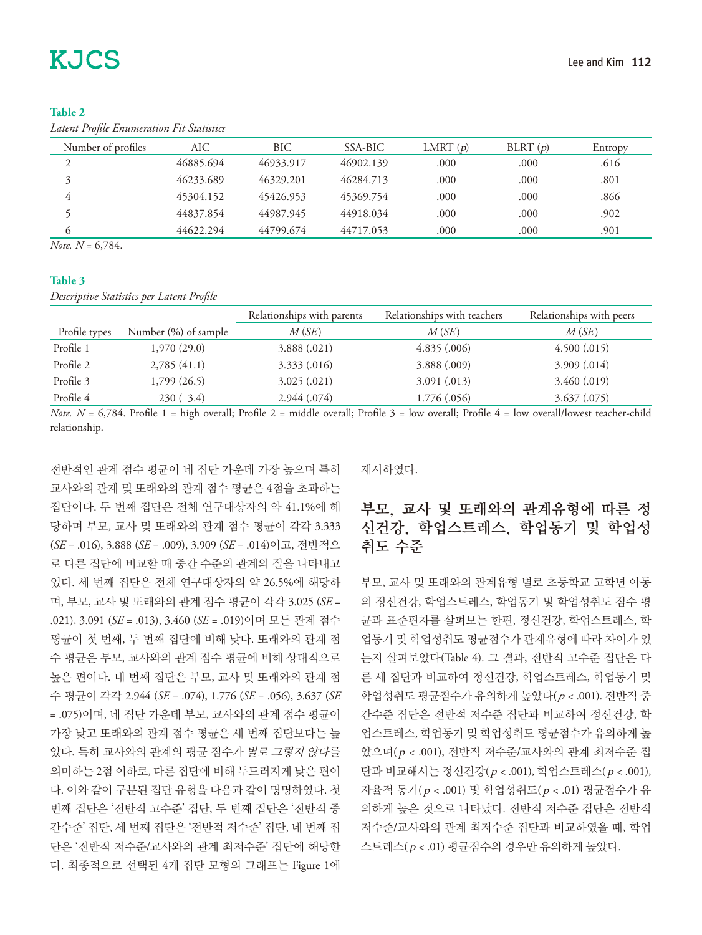#### **Table 2**

*Latent Profile Enumeration Fit Statistics*

| Number of profiles | AIC       | BIC       | SSA-BIC   | LMRT $(p)$ | BLRT $(p)$ | Entropy |
|--------------------|-----------|-----------|-----------|------------|------------|---------|
| ↑                  | 46885.694 | 46933.917 | 46902.139 | .000       | .000       | .616    |
| $\mathbf{z}$       | 46233.689 | 46329.201 | 46284.713 | .000       | .000       | .801    |
|                    | 45304.152 | 45426.953 | 45369.754 | .000       | .000       | .866    |
|                    | 44837.854 | 44987.945 | 44918.034 | .000       | .000       | .902    |
|                    | 44622.294 | 44799.674 | 44717.053 | .000       | .000       | .901    |
| $-$                |           |           |           |            |            |         |

*Note. N* = 6,784.

#### **Table 3**

*Descriptive Statistics per Latent Profile*

|               |                      | Relationships with parents | Relationships with teachers | Relationships with peers |
|---------------|----------------------|----------------------------|-----------------------------|--------------------------|
| Profile types | Number (%) of sample | M(SE)                      | M(SE)                       | M(SE)                    |
| Profile 1     | 1,970(29.0)          | 3.888(.021)                | 4.835(.006)                 | 4.500(.015)              |
| Profile 2     | 2,785(41.1)          | 3.333(.016)                | 3.888(.009)                 | 3.909(.014)              |
| Profile 3     | 1,799 (26.5)         | 3.025(.021)                | 3.091(.013)                 | 3.460(.019)              |
| Profile 4     | 230(.3.4)            | 2.944(.074)                | 1.776(.056)                 | 3.637(.075)              |

*Note.*  $N = 6,784$ . Profile 1 = high overall; Profile 2 = middle overall; Profile 3 = low overall; Profile 4 = low overall/lowest teacher-child relationship.

전반적인 관계 점수 평균이 네 집단 가운데 가장 높으며 특히 교사와의 관계 및 또래와의 관계 점수 평균은 4점을 초과하는 집단이다. 두 번째 집단은 전체 연구대상자의 약 41.1%에 해 당하며 부모, 교사 및 또래와의 관계 점수 평균이 각각 3.333 (*SE* = .016), 3.888 (*SE* = .009), 3.909 (*SE* = .014)이고, 전반적으 로 다른 집단에 비교할 때 중간 수준의 관계의 질을 나타내고 있다. 세 번째 집단은 전체 연구대상자의 약 26.5%에 해당하 며, 부모, 교사 및 또래와의 관계 점수 평균이 각각 3.025 (*SE* = .021), 3.091 (*SE* = .013), 3.460 (*SE* = .019)이며 모든 관계 점수 평균이 첫 번째, 두 번째 집단에 비해 낮다. 또래와의 관계 점 수 평균은 부모, 교사와의 관계 점수 평균에 비해 상대적으로 높은 편이다. 네 번째 집단은 부모, 교사 및 또래와의 관계 점 수 평균이 각각 2.944 (*SE* = .074), 1.776 (*SE* = .056), 3.637 (*SE* = .075)이며, 네 집단 가운데 부모, 교사와의 관계 점수 평균이 가장 낮고 또래와의 관계 점수 평균은 세 번째 집단보다는 높 았다. 특히 교사와의 관계의 평균 점수가 별로 그렇지 않다를 의미하는 2점 이하로, 다른 집단에 비해 두드러지게 낮은 편이 다. 이와 같이 구분된 집단 유형을 다음과 같이 명명하였다. 첫 번째 집단은 '전반적 고수준' 집단, 두 번째 집단은 '전반적 중 간수준' 집단, 세 번째 집단은 '전반적 저수준' 집단, 네 번째 집 단은 '전반적 저수준/교사와의 관계 최저수준' 집단에 해당한 다. 최종적으로 선택된 4개 집단 모형의 그래프는 Figure 1에 제시하였다.

## 부모, 교사 및 또래와의 관계유형에 따른 정 신건강, 학업스트레스, 학업동기 및 학업성 취도 수준

부모, 교사 및 또래와의 관계유형 별로 초등학교 고학년 아동 의 정신건강, 학업스트레스, 학업동기 및 학업성취도 점수 평 균과 표준편차를 살펴보는 한편, 정신건강, 학업스트레스, 학 업동기 및 학업성취도 평균점수가 관계유형에 따라 차이가 있 는지 살펴보았다(Table 4). 그 결과, 전반적 고수준 집단은 다 른 세 집단과 비교하여 정신건강, 학업스트레스, 학업동기 및 학업성취도 평균점수가 유의하게 높았다 $(p < .001)$ . 전반적 중 간수준 집단은 전반적 저수준 집단과 비교하여 정신건강, 학 업스트레스, 학업동기 및 학업성취도 평균점수가 유의하게 높 았으며( p < .001), 전반적 저수준/교사와의 관계 최저수준 집 단과 비교해서는 정신건강( p < .001), 학업스트레스( p < .001), 자율적 동기( p < .001) 및 학업성취도( p < .01) 평균점수가 유 의하게 높은 것으로 나타났다. 전반적 저수준 집단은 전반적 저수준/교사와의 관계 최저수준 집단과 비교하였을 때, 학업 스트레스( p < .01) 평균점수의 경우만 유의하게 높았다.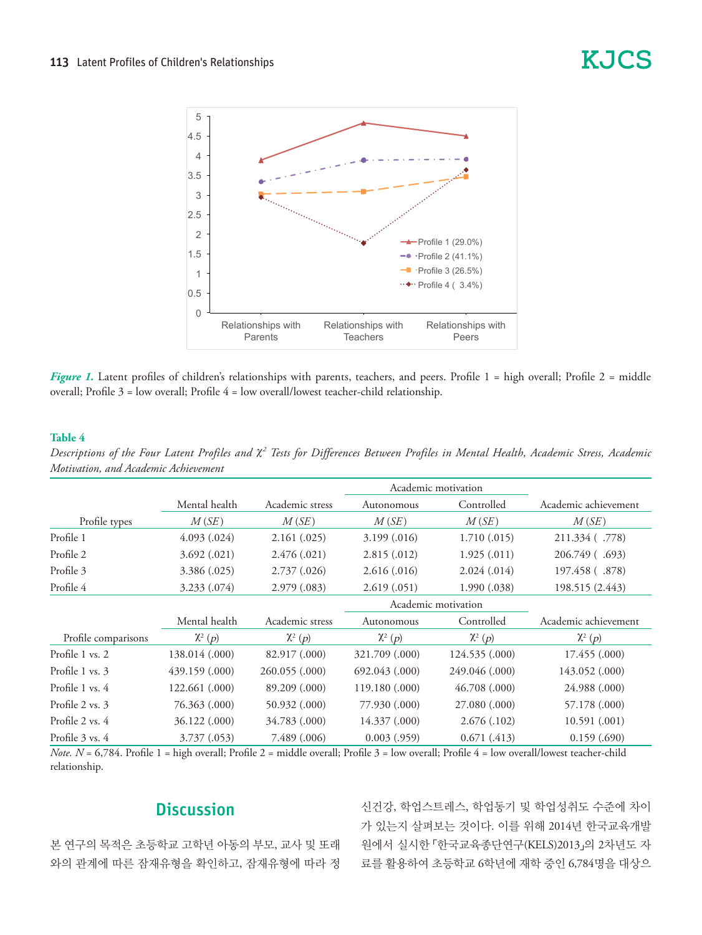

Figure 1. Latent profiles of children's relationships with parents, teachers, and peers. Profile 1 = high overall; Profile 2 = middle eers. Profile 3 = low overall; Profile 4 = low overall/lowest teacher-child relationship. rally from  $1 - \text{low overan/rows}$  teacher-child relationship.

#### **Table 4**

|                     |                     |                 | Academic motivation |                |                      |
|---------------------|---------------------|-----------------|---------------------|----------------|----------------------|
|                     | Mental health       | Academic stress | Autonomous          | Controlled     | Academic achievement |
| Profile types       | M(SE)               | M(SE)           | M(SE)               | M(SE)          | M(SE)                |
| Profile 1           | 4.093(.024)         | 2.161(.025)     | 3.199(0.016)        | 1.710(.015)    | 211.334 (.778)       |
| Profile 2           | 3.692(.021)         | 2.476(.021)     | 2.815(.012)         | 1.925(.011)    | 206.749 (.693)       |
| Profile 3           | 3.386 (.025)        | 2.737(0.026)    | 2.616(.016)         | 2.024(.014)    | 197.458 (.878)       |
| Profile 4           | 3.233 (.074)        | 2.979(.083)     | 2.619(.051)         | 1.990(.038)    | 198.515 (2.443)      |
|                     | Academic motivation |                 |                     |                |                      |
|                     | Mental health       | Academic stress | Autonomous          | Controlled     | Academic achievement |
| Profile comparisons | $\chi^2(p)$         | $\chi^2(p)$     | $\chi^2(p)$         | $\chi^2(p)$    | $\chi^2(p)$          |
| Profile 1 vs. 2     | 138.014 (.000)      | 82.917 (.000)   | 321.709 (.000)      | 124.535 (.000) | 17.455 (.000)        |
| Profile 1 vs. 3     | 439.159 (.000)      | 260.055 (.000)  | 692.043 (.000)      | 249.046 (.000) | 143.052 (.000)       |
| Profile 1 vs. 4     | 122.661 (.000)      | 89.209 (.000)   | 119.180 (.000)      | 46.708(.000)   | 24.988 (.000)        |
| Profile 2 vs. 3     | 76.363 (.000)       | 50.932 (.000)   | 77.930 (.000)       | 27.080 (.000)  | 57.178 (.000)        |
| Profile 2 vs. 4     | 36.122 (.000)       | 34.783 (.000)   | 14.337 (.000)       | 2.676(.102)    | 10.591(.001)         |
| Profile 3 vs. 4     | 3.737(0.053)        | 7.489 (.006)    | 0.003(.959)         | 0.671(.413)    | 0.159(.690)          |

Descriptions of the Four Latent Profiles and χ<sup>2</sup> Tests for Differences Between Profiles in Mental Health, Academic Stress, Academic *Motivation, and Academic Achievement*

*Note. N* = 6,784. Profile 1 = high overall; Profile 2 = middle overall; Profile 3 = low overall; Profile 4 = low overall/lowest teacher-child relationship.

## **Discussion**

본 연구의 목적은 초등학교 고학년 아동의 부모, 교사 및 또래 와의 관계에 따른 잠재유형을 확인하고, 잠재유형에 따라 정

신건강, 학업스트레스, 학업동기 및 학업성취도 수준에 차이 가 있는지 살펴보는 것이다. 이를 위해 2014년 한국교육개발 원에서 실시한 「한국교육종단연구(KELS)2013」의 2차년도 자 료를 활용하여 초등학교 6학년에 재학 중인 6,784명을 대상으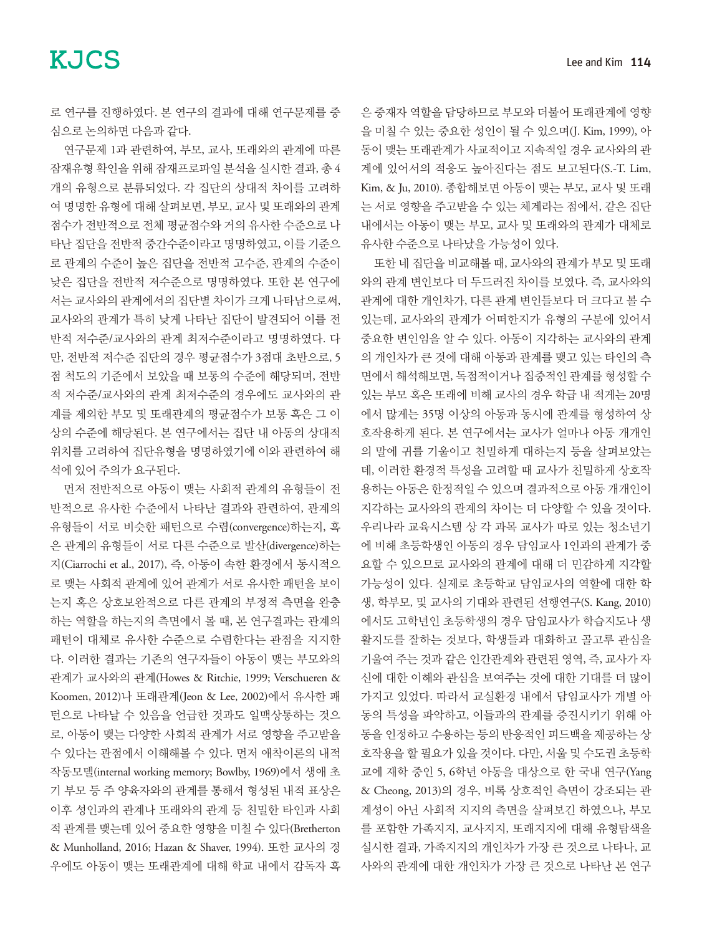로 연구를 진행하였다. 본 연구의 결과에 대해 연구문제를 중 심으로 논의하면 다음과 같다.

연구문제 1과 관련하여, 부모, 교사, 또래와의 관계에 따른 잠재유형 확인을 위해 잠재프로파일 분석을 실시한 결과, 총 4 개의 유형으로 분류되었다. 각 집단의 상대적 차이를 고려하 여 명명한 유형에 대해 살펴보면, 부모, 교사 및 또래와의 관계 점수가 전반적으로 전체 평균점수와 거의 유사한 수준으로 나 타난 집단을 전반적 중간수준이라고 명명하였고, 이를 기준으 로 관계의 수준이 높은 집단을 전반적 고수준, 관계의 수준이 낮은 집단을 전반적 저수준으로 명명하였다. 또한 본 연구에 서는 교사와의 관계에서의 집단별 차이가 크게 나타남으로써, 교사와의 관계가 특히 낮게 나타난 집단이 발견되어 이를 전 반적 저수준/교사와의 관계 최저수준이라고 명명하였다. 다 만, 전반적 저수준 집단의 경우 평균점수가 3점대 초반으로, 5 점 척도의 기준에서 보았을 때 보통의 수준에 해당되며, 전반 적 저수준/교사와의 관계 최저수준의 경우에도 교사와의 관 계를 제외한 부모 및 또래관계의 평균점수가 보통 혹은 그 이 상의 수준에 해당된다. 본 연구에서는 집단 내 아동의 상대적 위치를 고려하여 집단유형을 명명하였기에 이와 관련하여 해 석에 있어 주의가 요구된다.

먼저 전반적으로 아동이 맺는 사회적 관계의 유형들이 전 반적으로 유사한 수준에서 나타난 결과와 관련하여, 관계의 유형들이 서로 비슷한 패턴으로 수렴(convergence)하는지, 혹 은 관계의 유형들이 서로 다른 수준으로 발산(divergence)하는 지(Ciarrochi et al., 2017), 즉, 아동이 속한 환경에서 동시적으 로 맺는 사회적 관계에 있어 관계가 서로 유사한 패턴을 보이 는지 혹은 상호보완적으로 다른 관계의 부정적 측면을 완충 하는 역할을 하는지의 측면에서 볼 때, 본 연구결과는 관계의 패턴이 대체로 유사한 수준으로 수렴한다는 관점을 지지한 다. 이러한 결과는 기존의 연구자들이 아동이 맺는 부모와의 관계가 교사와의 관계(Howes & Ritchie, 1999; Verschueren & Koomen, 2012)나 또래관계(Jeon & Lee, 2002)에서 유사한 패 턴으로 나타날 수 있음을 언급한 것과도 일맥상통하는 것으 로, 아동이 맺는 다양한 사회적 관계가 서로 영향을 주고받을 수 있다는 관점에서 이해해볼 수 있다. 먼저 애착이론의 내적 작동모델(internal working memory; Bowlby, 1969)에서 생애 초 기 부모 등 주 양육자와의 관계를 통해서 형성된 내적 표상은 이후 성인과의 관계나 또래와의 관계 등 친밀한 타인과 사회 적 관계를 맺는데 있어 중요한 영향을 미칠 수 있다(Bretherton & Munholland, 2016; Hazan & Shaver, 1994). 또한 교사의 경 우에도 아동이 맺는 또래관계에 대해 학교 내에서 감독자 혹

은 중재자 역할을 담당하므로 부모와 더불어 또래관계에 영향 을 미칠 수 있는 중요한 성인이 될 수 있으며(J. Kim, 1999), 아 동이 맺는 또래관계가 사교적이고 지속적일 경우 교사와의 관 계에 있어서의 적응도 높아진다는 점도 보고된다(S.-T. Lim, Kim, & Ju, 2010). 종합해보면 아동이 맺는 부모, 교사 및 또래 는 서로 영향을 주고받을 수 있는 체계라는 점에서, 같은 집단 내에서는 아동이 맺는 부모, 교사 및 또래와의 관계가 대체로 유사한 수준으로 나타났을 가능성이 있다.

또한 네 집단을 비교해볼 때, 교사와의 관계가 부모 및 또래 와의 관계 변인보다 더 두드러진 차이를 보였다. 즉, 교사와의 관계에 대한 개인차가, 다른 관계 변인들보다 더 크다고 볼 수 있는데, 교사와의 관계가 어떠한지가 유형의 구분에 있어서 중요한 변인임을 알 수 있다. 아동이 지각하는 교사와의 관계 의 개인차가 큰 것에 대해 아동과 관계를 맺고 있는 타인의 측 면에서 해석해보면, 독점적이거나 집중적인 관계를 형성할 수 있는 부모 혹은 또래에 비해 교사의 경우 학급 내 적게는 20명 에서 많게는 35명 이상의 아동과 동시에 관계를 형성하여 상 호작용하게 된다. 본 연구에서는 교사가 얼마나 아동 개개인 의 말에 귀를 기울이고 친밀하게 대하는지 등을 살펴보았는 데, 이러한 환경적 특성을 고려할 때 교사가 친밀하게 상호작 용하는 아동은 한정적일 수 있으며 결과적으로 아동 개개인이 지각하는 교사와의 관계의 차이는 더 다양할 수 있을 것이다. 우리나라 교육시스템 상 각 과목 교사가 따로 있는 청소년기 에 비해 초등학생인 아동의 경우 담임교사 1인과의 관계가 중 요할 수 있으므로 교사와의 관계에 대해 더 민감하게 지각할 가능성이 있다. 실제로 초등학교 담임교사의 역할에 대한 학 생, 학부모, 및 교사의 기대와 관련된 선행연구(S. Kang, 2010) 에서도 고학년인 초등학생의 경우 담임교사가 학습지도나 생 활지도를 잘하는 것보다, 학생들과 대화하고 골고루 관심을 기울여 주는 것과 같은 인간관계와 관련된 영역, 즉, 교사가 자 신에 대한 이해와 관심을 보여주는 것에 대한 기대를 더 많이 가지고 있었다. 따라서 교실환경 내에서 담임교사가 개별 아 동의 특성을 파악하고, 이들과의 관계를 증진시키기 위해 아 동을 인정하고 수용하는 등의 반응적인 피드백을 제공하는 상 호작용을 할 필요가 있을 것이다. 다만, 서울 및 수도권 초등학 교에 재학 중인 5, 6학년 아동을 대상으로 한 국내 연구(Yang & Cheong, 2013)의 경우, 비록 상호적인 측면이 강조되는 관 계성이 아닌 사회적 지지의 측면을 살펴보긴 하였으나, 부모 를 포함한 가족지지, 교사지지, 또래지지에 대해 유형탐색을 실시한 결과, 가족지지의 개인차가 가장 큰 것으로 나타나, 교 사와의 관계에 대한 개인차가 가장 큰 것으로 나타난 본 연구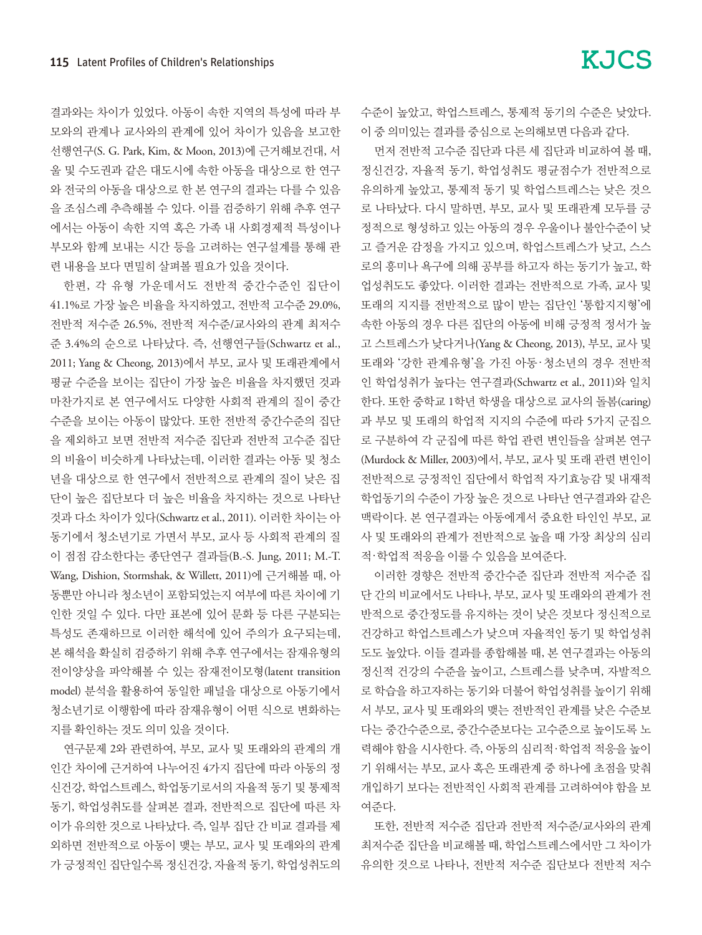결과와는 차이가 있었다. 아동이 속한 지역의 특성에 따라 부 모와의 관계나 교사와의 관계에 있어 차이가 있음을 보고한 선행연구(S. G. Park, Kim, & Moon, 2013)에 근거해보건대, 서 울 및 수도권과 같은 대도시에 속한 아동을 대상으로 한 연구 와 전국의 아동을 대상으로 한 본 연구의 결과는 다를 수 있음 을 조심스레 추측해볼 수 있다. 이를 검증하기 위해 추후 연구 에서는 아동이 속한 지역 혹은 가족 내 사회경제적 특성이나 부모와 함께 보내는 시간 등을 고려하는 연구설계를 통해 관 련 내용을 보다 면밀히 살펴볼 필요가 있을 것이다.

한편, 각 유형 가운데서도 전반적 중간수준인 집단이 41.1%로 가장 높은 비율을 차지하였고, 전반적 고수준 29.0%, 전반적 저수준 26.5%, 전반적 저수준/교사와의 관계 최저수 준 3.4%의 순으로 나타났다. 즉, 선행연구들(Schwartz et al., 2011; Yang & Cheong, 2013)에서 부모, 교사 및 또래관계에서 평균 수준을 보이는 집단이 가장 높은 비율을 차지했던 것과 마찬가지로 본 연구에서도 다양한 사회적 관계의 질이 중간 수준을 보이는 아동이 많았다. 또한 전반적 중간수준의 집단 을 제외하고 보면 전반적 저수준 집단과 전반적 고수준 집단 의 비율이 비슷하게 나타났는데, 이러한 결과는 아동 및 청소 년을 대상으로 한 연구에서 전반적으로 관계의 질이 낮은 집 단이 높은 집단보다 더 높은 비율을 차지하는 것으로 나타난 것과 다소 차이가 있다(Schwartz et al., 2011). 이러한 차이는 아 동기에서 청소년기로 가면서 부모, 교사 등 사회적 관계의 질 이 점점 감소한다는 종단연구 결과들(B.-S. Jung, 2011; M.-T. Wang, Dishion, Stormshak, & Willett, 2011)에 근거해볼 때, 아 동뿐만 아니라 청소년이 포함되었는지 여부에 따른 차이에 기 인한 것일 수 있다. 다만 표본에 있어 문화 등 다른 구분되는 특성도 존재하므로 이러한 해석에 있어 주의가 요구되는데, 본 해석을 확실히 검증하기 위해 추후 연구에서는 잠재유형의 전이양상을 파악해볼 수 있는 잠재전이모형(latent transition model) 분석을 활용하여 동일한 패널을 대상으로 아동기에서 청소년기로 이행함에 따라 잠재유형이 어떤 식으로 변화하는 지를 확인하는 것도 의미 있을 것이다.

연구문제 2와 관련하여, 부모, 교사 및 또래와의 관계의 개 인간 차이에 근거하여 나누어진 4가지 집단에 따라 아동의 정 신건강, 학업스트레스, 학업동기로서의 자율적 동기 및 통제적 동기, 학업성취도를 살펴본 결과, 전반적으로 집단에 따른 차 이가 유의한 것으로 나타났다. 즉, 일부 집단 간 비교 결과를 제 외하면 전반적으로 아동이 맺는 부모, 교사 및 또래와의 관계 가 긍정적인 집단일수록 정신건강, 자율적 동기, 학업성취도의

먼저 전반적 고수준 집단과 다른 세 집단과 비교하여 볼 때, 정신건강, 자율적 동기, 학업성취도 평균점수가 전반적으로 유의하게 높았고, 통제적 동기 및 학업스트레스는 낮은 것으 로 나타났다. 다시 말하면, 부모, 교사 및 또래관계 모두를 긍 정적으로 형성하고 있는 아동의 경우 우울이나 불안수준이 낮 고 즐거운 감정을 가지고 있으며, 학업스트레스가 낮고, 스스 로의 흥미나 욕구에 의해 공부를 하고자 하는 동기가 높고, 학 업성취도도 좋았다. 이러한 결과는 전반적으로 가족, 교사 및 또래의 지지를 전반적으로 많이 받는 집단인 '통합지지형'에 속한 아동의 경우 다른 집단의 아동에 비해 긍정적 정서가 높 고 스트레스가 낮다거나(Yang & Cheong, 2013), 부모, 교사 및 또래와 '강한 관계유형'을 가진 아동.청소년의 경우 전반적 인 학업성취가 높다는 연구결과(Schwartz et al., 2011)와 일치 한다. 또한 중학교 1학년 학생을 대상으로 교사의 돌봄(caring) 과 부모 및 또래의 학업적 지지의 수준에 따라 5가지 군집으 로 구분하여 각 군집에 따른 학업 관련 변인들을 살펴본 연구 (Murdock & Miller, 2003)에서, 부모, 교사 및 또래 관련 변인이 전반적으로 긍정적인 집단에서 학업적 자기효능감 및 내재적 학업동기의 수준이 가장 높은 것으로 나타난 연구결과와 같은 맥락이다. 본 연구결과는 아동에게서 중요한 타인인 부모, 교 사 및 또래와의 관계가 전반적으로 높을 때 가장 최상의 심리 적.학업적 적응을 이룰 수 있음을 보여준다.

이러한 경향은 전반적 중간수준 집단과 전반적 저수준 집 단 간의 비교에서도 나타나, 부모, 교사 및 또래와의 관계가 전 반적으로 중간정도를 유지하는 것이 낮은 것보다 정신적으로 건강하고 학업스트레스가 낮으며 자율적인 동기 및 학업성취 도도 높았다. 이들 결과를 종합해볼 때, 본 연구결과는 아동의 정신적 건강의 수준을 높이고, 스트레스를 낮추며, 자발적으 로 학습을 하고자하는 동기와 더불어 학업성취를 높이기 위해 서 부모, 교사 및 또래와의 맺는 전반적인 관계를 낮은 수준보 다는 중간수준으로, 중간수준보다는 고수준으로 높이도록 노 력해야 함을 시사한다. 즉, 아동의 심리적.학업적 적응을 높이 기 위해서는 부모, 교사 혹은 또래관계 중 하나에 초점을 맞춰 개입하기 보다는 전반적인 사회적 관계를 고려하여야 함을 보 여준다.

또한, 전반적 저수준 집단과 전반적 저수준/교사와의 관계 최저수준 집단을 비교해볼 때, 학업스트레스에서만 그 차이가 유의한 것으로 나타나, 전반적 저수준 집단보다 전반적 저수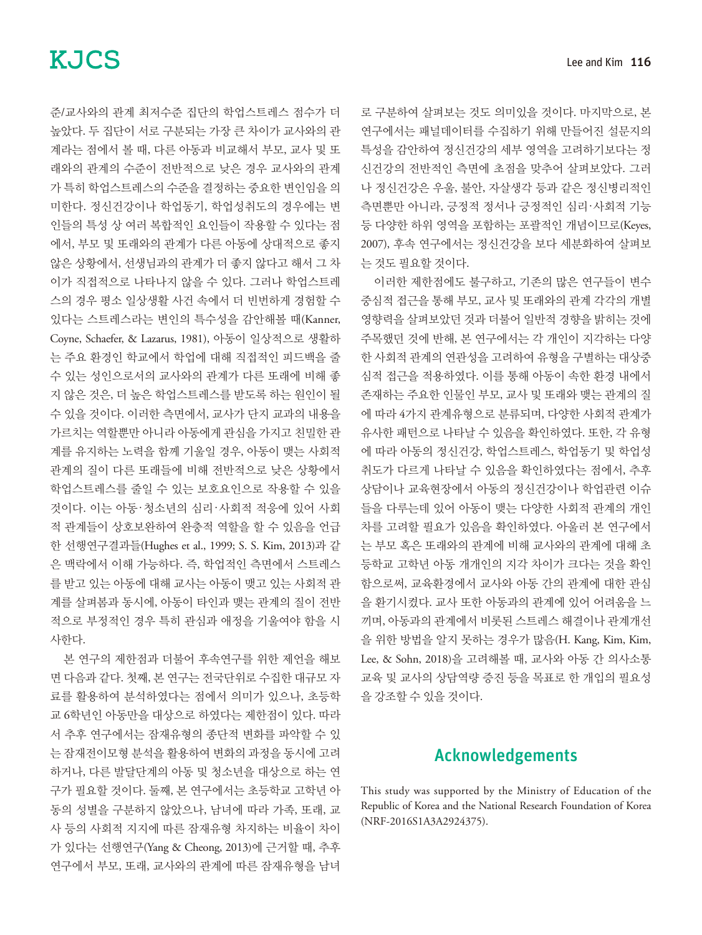준/교사와의 관계 최저수준 집단의 학업스트레스 점수가 더 높았다. 두 집단이 서로 구분되는 가장 큰 차이가 교사와의 관 계라는 점에서 볼 때, 다른 아동과 비교해서 부모, 교사 및 또 래와의 관계의 수준이 전반적으로 낮은 경우 교사와의 관계 가 특히 학업스트레스의 수준을 결정하는 중요한 변인임을 의 미한다. 정신건강이나 학업동기, 학업성취도의 경우에는 변 인들의 특성 상 여러 복합적인 요인들이 작용할 수 있다는 점 에서, 부모 및 또래와의 관계가 다른 아동에 상대적으로 좋지 않은 상황에서, 선생님과의 관계가 더 좋지 않다고 해서 그 차 이가 직접적으로 나타나지 않을 수 있다. 그러나 학업스트레 스의 경우 평소 일상생활 사건 속에서 더 빈번하게 경험할 수 있다는 스트레스라는 변인의 특수성을 감안해볼 때(Kanner, Coyne, Schaefer, & Lazarus, 1981), 아동이 일상적으로 생활하 는 주요 환경인 학교에서 학업에 대해 직접적인 피드백을 줄 수 있는 성인으로서의 교사와의 관계가 다른 또래에 비해 좋 지 않은 것은, 더 높은 학업스트레스를 받도록 하는 원인이 될 수 있을 것이다. 이러한 측면에서, 교사가 단지 교과의 내용을 가르치는 역할뿐만 아니라 아동에게 관심을 가지고 친밀한 관 계를 유지하는 노력을 함께 기울일 경우, 아동이 맺는 사회적 관계의 질이 다른 또래들에 비해 전반적으로 낮은 상황에서 학업스트레스를 줄일 수 있는 보호요인으로 작용할 수 있을 것이다. 이는 아동.청소년의 심리.사회적 적응에 있어 사회 적 관계들이 상호보완하여 완충적 역할을 할 수 있음을 언급 한 선행연구결과들(Hughes et al., 1999; S. S. Kim, 2013)과 같 은 맥락에서 이해 가능하다. 즉, 학업적인 측면에서 스트레스 를 받고 있는 아동에 대해 교사는 아동이 맺고 있는 사회적 관 계를 살펴봄과 동시에, 아동이 타인과 맺는 관계의 질이 전반 적으로 부정적인 경우 특히 관심과 애정을 기울여야 함을 시 사한다.

본 연구의 제한점과 더불어 후속연구를 위한 제언을 해보 면 다음과 같다. 첫째, 본 연구는 전국단위로 수집한 대규모 자 료를 활용하여 분석하였다는 점에서 의미가 있으나, 초등학 교 6학년인 아동만을 대상으로 하였다는 제한점이 있다. 따라 서 추후 연구에서는 잠재유형의 종단적 변화를 파악할 수 있 는 잠재전이모형 분석을 활용하여 변화의 과정을 동시에 고려 하거나, 다른 발달단계의 아동 및 청소년을 대상으로 하는 연 구가 필요할 것이다. 둘째, 본 연구에서는 초등학교 고학년 아 동의 성별을 구분하지 않았으나, 남녀에 따라 가족, 또래, 교 사 등의 사회적 지지에 따른 잠재유형 차지하는 비율이 차이 가 있다는 선행연구(Yang & Cheong, 2013)에 근거할 때, 추후 연구에서 부모, 또래, 교사와의 관계에 따른 잠재유형을 남녀 로 구분하여 살펴보는 것도 의미있을 것이다. 마지막으로, 본 연구에서는 패널데이터를 수집하기 위해 만들어진 설문지의 특성을 감안하여 정신건강의 세부 영역을 고려하기보다는 정 신건강의 전반적인 측면에 초점을 맞추어 살펴보았다. 그러 나 정신건강은 우울, 불안, 자살생각 등과 같은 정신병리적인 측면뿐만 아니라, 긍정적 정서나 긍정적인 심리.사회적 기능 등 다양한 하위 영역을 포함하는 포괄적인 개념이므로(Keyes, 2007), 후속 연구에서는 정신건강을 보다 세분화하여 살펴보 는 것도 필요할 것이다.

이러한 제한점에도 불구하고, 기존의 많은 연구들이 변수 중심적 접근을 통해 부모, 교사 및 또래와의 관계 각각의 개별 영향력을 살펴보았던 것과 더불어 일반적 경향을 밝히는 것에 주목했던 것에 반해, 본 연구에서는 각 개인이 지각하는 다양 한 사회적 관계의 연관성을 고려하여 유형을 구별하는 대상중 심적 접근을 적용하였다. 이를 통해 아동이 속한 환경 내에서 존재하는 주요한 인물인 부모, 교사 및 또래와 맺는 관계의 질 에 따라 4가지 관계유형으로 분류되며, 다양한 사회적 관계가 유사한 패턴으로 나타날 수 있음을 확인하였다. 또한, 각 유형 에 따라 아동의 정신건강, 학업스트레스, 학업동기 및 학업성 취도가 다르게 나타날 수 있음을 확인하였다는 점에서, 추후 상담이나 교육현장에서 아동의 정신건강이나 학업관련 이슈 들을 다루는데 있어 아동이 맺는 다양한 사회적 관계의 개인 차를 고려할 필요가 있음을 확인하였다. 아울러 본 연구에서 는 부모 혹은 또래와의 관계에 비해 교사와의 관계에 대해 초 등학교 고학년 아동 개개인의 지각 차이가 크다는 것을 확인 함으로써, 교육환경에서 교사와 아동 간의 관계에 대한 관심 을 환기시켰다. 교사 또한 아동과의 관계에 있어 어려움을 느 끼며, 아동과의 관계에서 비롯된 스트레스 해결이나 관계개선 을 위한 방법을 알지 못하는 경우가 많음(H. Kang, Kim, Kim, Lee, & Sohn, 2018)을 고려해볼 때, 교사와 아동 간 의사소통 교육 및 교사의 상담역량 증진 등을 목표로 한 개입의 필요성 을 강조할 수 있을 것이다.

## Acknowledgements

This study was supported by the Ministry of Education of the Republic of Korea and the National Research Foundation of Korea (NRF-2016S1A3A2924375).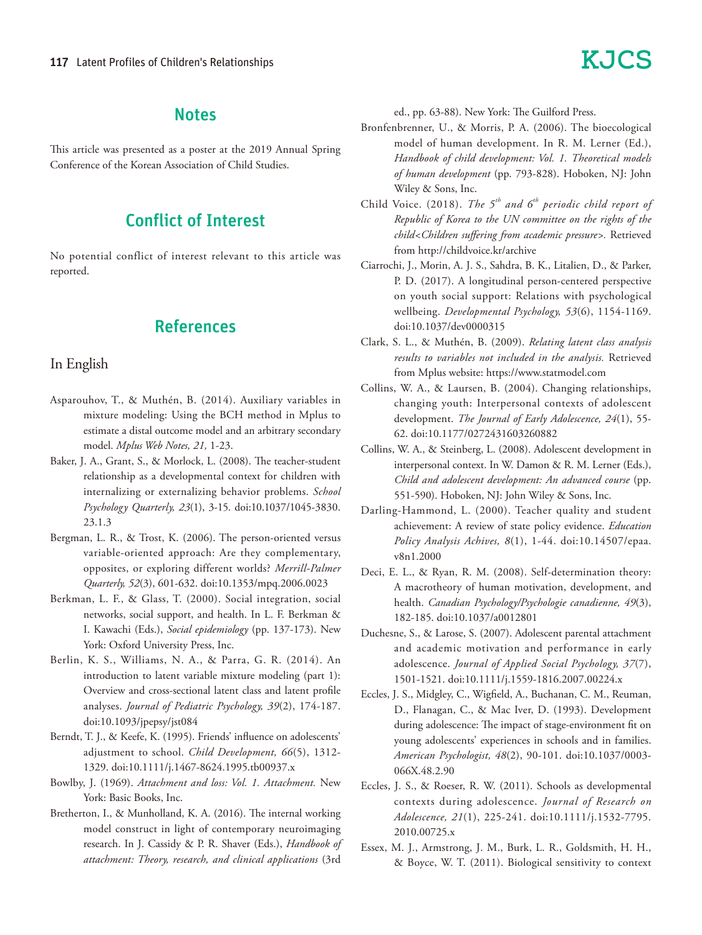#### **Notes**

This article was presented as a poster at the 2019 Annual Spring Conference of the Korean Association of Child Studies.

## Conflict of Interest

No potential conflict of interest relevant to this article was reported.

## References

#### In English

- Asparouhov, T., & Muthén, B. (2014). Auxiliary variables in mixture modeling: Using the BCH method in Mplus to estimate a distal outcome model and an arbitrary secondary model. *Mplus Web Notes, 21,* 1-23.
- Baker, J. A., Grant, S., & Morlock, L. (2008). The teacher-student relationship as a developmental context for children with internalizing or externalizing behavior problems. *School Psychology Quarterly, 23*(1), 3-15. doi:10.1037/1045-3830. 23.1.3
- Bergman, L. R., & Trost, K. (2006). The person-oriented versus variable-oriented approach: Are they complementary, opposites, or exploring different worlds? *Merrill-Palmer Quarterly, 52*(3), 601-632. doi:10.1353/mpq.2006.0023
- Berkman, L. F., & Glass, T. (2000). Social integration, social networks, social support, and health. In L. F. Berkman & I. Kawachi (Eds.), *Social epidemiology* (pp. 137-173). New York: Oxford University Press, Inc.
- Berlin, K. S., Williams, N. A., & Parra, G. R. (2014). An introduction to latent variable mixture modeling (part 1): Overview and cross-sectional latent class and latent profile analyses. *Journal of Pediatric Psychology, 39*(2), 174-187. doi:10.1093/jpepsy/jst084
- Berndt, T. J., & Keefe, K. (1995). Friends' influence on adolescents' adjustment to school. *Child Development, 66*(5), 1312- 1329. doi:10.1111/j.1467-8624.1995.tb00937.x
- Bowlby, J. (1969). *Attachment and loss: Vol. 1. Attachment.* New York: Basic Books, Inc.
- Bretherton, I., & Munholland, K. A. (2016). The internal working model construct in light of contemporary neuroimaging research. In J. Cassidy & P. R. Shaver (Eds.), *Handbook of attachment: Theory, research, and clinical applications* (3rd

ed., pp. 63-88). New York: The Guilford Press.

- Bronfenbrenner, U., & Morris, P. A. (2006). The bioecological model of human development. In R. M. Lerner (Ed.), *Handbook of child development: Vol. 1. Theoretical models of human development* (pp. 793-828). Hoboken, NJ: John Wiley & Sons, Inc.
- Child Voice. (2018). *The*  $5<sup>th</sup>$  and  $6<sup>th</sup>$  periodic child report of *Republic of Korea to the UN committee on the rights of the child<Children suffering from academic pressure>.* Retrieved from http://childvoice.kr/archive
- Ciarrochi, J., Morin, A. J. S., Sahdra, B. K., Litalien, D., & Parker, P. D. (2017). A longitudinal person-centered perspective on youth social support: Relations with psychological wellbeing. *Developmental Psychology, 53*(6), 1154-1169. doi:10.1037/dev0000315
- Clark, S. L., & Muthén, B. (2009). *Relating latent class analysis results to variables not included in the analysis.* Retrieved from Mplus website: https://www.statmodel.com
- Collins, W. A., & Laursen, B. (2004). Changing relationships, changing youth: Interpersonal contexts of adolescent development. *The Journal of Early Adolescence, 24*(1), 55- 62. doi:10.1177/0272431603260882
- Collins, W. A., & Steinberg, L. (2008). Adolescent development in interpersonal context. In W. Damon & R. M. Lerner (Eds.), *Child and adolescent development: An advanced course* (pp. 551-590). Hoboken, NJ: John Wiley & Sons, Inc.
- Darling-Hammond, L. (2000). Teacher quality and student achievement: A review of state policy evidence. *Education Policy Analysis Achives, 8*(1), 1-44. doi:10.14507/epaa. v8n1.2000
- Deci, E. L., & Ryan, R. M. (2008). Self-determination theory: A macrotheory of human motivation, development, and health. *Canadian Psychology/Psychologie canadienne, 49*(3), 182-185. doi:10.1037/a0012801
- Duchesne, S., & Larose, S. (2007). Adolescent parental attachment and academic motivation and performance in early adolescence. *Journal of Applied Social Psychology, 37*(7), 1501-1521. doi:10.1111/j.1559-1816.2007.00224.x
- Eccles, J. S., Midgley, C., Wigfield, A., Buchanan, C. M., Reuman, D., Flanagan, C., & Mac Iver, D. (1993). Development during adolescence: The impact of stage-environment fit on young adolescents' experiences in schools and in families. *American Psychologist, 48*(2), 90-101. doi:10.1037/0003- 066X.48.2.90
- Eccles, J. S., & Roeser, R. W. (2011). Schools as developmental contexts during adolescence. *Journal of Research on Adolescence, 21*(1), 225-241. doi:10.1111/j.1532-7795. 2010.00725.x
- Essex, M. J., Armstrong, J. M., Burk, L. R., Goldsmith, H. H., & Boyce, W. T. (2011). Biological sensitivity to context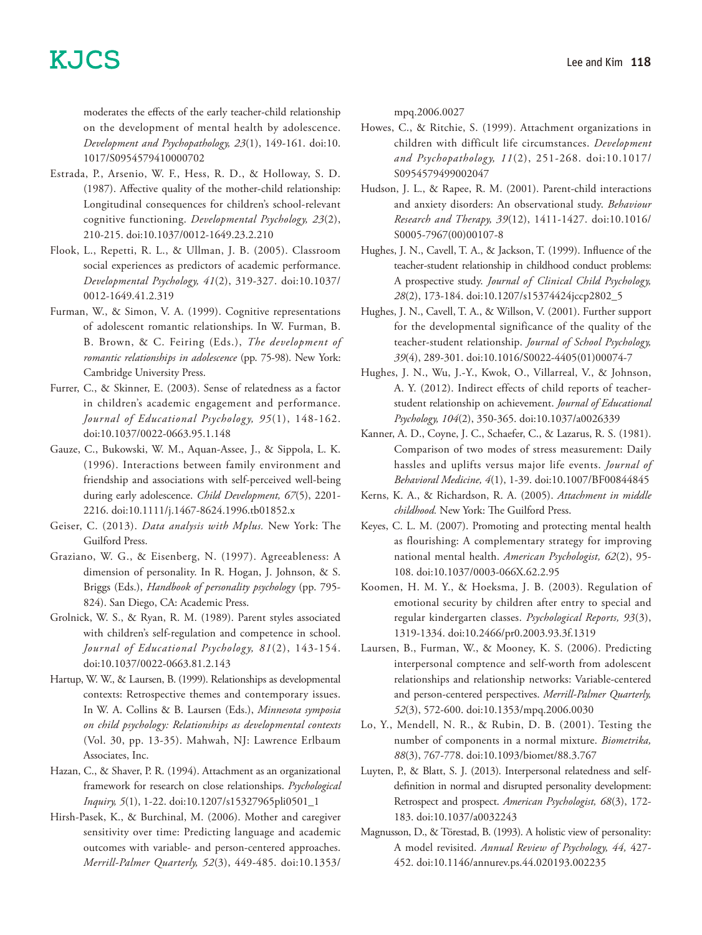moderates the effects of the early teacher-child relationship on the development of mental health by adolescence. *Development and Psychopathology, 23*(1), 149-161. doi:10. 1017/S0954579410000702

- Estrada, P., Arsenio, W. F., Hess, R. D., & Holloway, S. D. (1987). Affective quality of the mother-child relationship: Longitudinal consequences for children's school-relevant cognitive functioning. *Developmental Psychology, 23*(2), 210-215. doi:10.1037/0012-1649.23.2.210
- Flook, L., Repetti, R. L., & Ullman, J. B. (2005). Classroom social experiences as predictors of academic performance. *Developmental Psychology, 41*(2), 319-327. doi:10.1037/ 0012-1649.41.2.319
- Furman, W., & Simon, V. A. (1999). Cognitive representations of adolescent romantic relationships. In W. Furman, B. B. Brown, & C. Feiring (Eds.), *The development of romantic relationships in adolescence* (pp. 75-98). New York: Cambridge University Press.
- Furrer, C., & Skinner, E. (2003). Sense of relatedness as a factor in children's academic engagement and performance. *Journal of Educational Psychology, 95*(1), 148-162. doi:10.1037/0022-0663.95.1.148
- Gauze, C., Bukowski, W. M., Aquan-Assee, J., & Sippola, L. K. (1996). Interactions between family environment and friendship and associations with self-perceived well-being during early adolescence. *Child Development, 67*(5), 2201- 2216. doi:10.1111/j.1467-8624.1996.tb01852.x
- Geiser, C. (2013). *Data analysis with Mplus.* New York: The Guilford Press.
- Graziano, W. G., & Eisenberg, N. (1997). Agreeableness: A dimension of personality. In R. Hogan, J. Johnson, & S. Briggs (Eds.), *Handbook of personality psychology* (pp. 795- 824). San Diego, CA: Academic Press.
- Grolnick, W. S., & Ryan, R. M. (1989). Parent styles associated with children's self-regulation and competence in school. *Journal of Educational Psychology, 81*(2), 143-154. doi:10.1037/0022-0663.81.2.143
- Hartup, W. W., & Laursen, B. (1999). Relationships as developmental contexts: Retrospective themes and contemporary issues. In W. A. Collins & B. Laursen (Eds.), *Minnesota symposia on child psychology: Relationships as developmental contexts* (Vol. 30, pp. 13-35). Mahwah, NJ: Lawrence Erlbaum Associates, Inc.
- Hazan, C., & Shaver, P. R. (1994). Attachment as an organizational framework for research on close relationships. *Psychological Inquiry, 5*(1), 1-22. doi:10.1207/s15327965pli0501\_1
- Hirsh-Pasek, K., & Burchinal, M. (2006). Mother and caregiver sensitivity over time: Predicting language and academic outcomes with variable- and person-centered approaches. *Merrill-Palmer Quarterly, 52*(3), 449-485. doi:10.1353/

mpq.2006.0027

- Howes, C., & Ritchie, S. (1999). Attachment organizations in children with difficult life circumstances. *Development and Psychopathology, 11*(2), 251-268. doi:10.1017/ S0954579499002047
- Hudson, J. L., & Rapee, R. M. (2001). Parent-child interactions and anxiety disorders: An observational study. *Behaviour Research and Therapy, 39*(12), 1411-1427. doi:10.1016/ S0005-7967(00)00107-8
- Hughes, J. N., Cavell, T. A., & Jackson, T. (1999). Influence of the teacher-student relationship in childhood conduct problems: A prospective study. *Journal of Clinical Child Psychology, 28*(2), 173-184. doi:10.1207/s15374424jccp2802\_5
- Hughes, J. N., Cavell, T. A., & Willson, V. (2001). Further support for the developmental significance of the quality of the teacher-student relationship. *Journal of School Psychology, 39*(4), 289-301. doi:10.1016/S0022-4405(01)00074-7
- Hughes, J. N., Wu, J.-Y., Kwok, O., Villarreal, V., & Johnson, A. Y. (2012). Indirect effects of child reports of teacherstudent relationship on achievement. *Journal of Educational Psychology, 104*(2), 350-365. doi:10.1037/a0026339
- Kanner, A. D., Coyne, J. C., Schaefer, C., & Lazarus, R. S. (1981). Comparison of two modes of stress measurement: Daily hassles and uplifts versus major life events. *Journal of Behavioral Medicine, 4*(1), 1-39. doi:10.1007/BF00844845
- Kerns, K. A., & Richardson, R. A. (2005). *Attachment in middle childhood.* New York: The Guilford Press.
- Keyes, C. L. M. (2007). Promoting and protecting mental health as flourishing: A complementary strategy for improving national mental health. *American Psychologist, 62*(2), 95- 108. doi:10.1037/0003-066X.62.2.95
- Koomen, H. M. Y., & Hoeksma, J. B. (2003). Regulation of emotional security by children after entry to special and regular kindergarten classes. *Psychological Reports, 93*(3), 1319-1334. doi:10.2466/pr0.2003.93.3f.1319
- Laursen, B., Furman, W., & Mooney, K. S. (2006). Predicting interpersonal comptence and self-worth from adolescent relationships and relationship networks: Variable-centered and person-centered perspectives. *Merrill-Palmer Quarterly, 52*(3), 572-600. doi:10.1353/mpq.2006.0030
- Lo, Y., Mendell, N. R., & Rubin, D. B. (2001). Testing the number of components in a normal mixture. *Biometrika, 88*(3), 767-778. doi:10.1093/biomet/88.3.767
- Luyten, P., & Blatt, S. J. (2013). Interpersonal relatedness and selfdefinition in normal and disrupted personality development: Retrospect and prospect. *American Psychologist, 68*(3), 172- 183. doi:10.1037/a0032243
- Magnusson, D., & Törestad, B. (1993). A holistic view of personality: A model revisited. *Annual Review of Psychology, 44,* 427- 452. doi:10.1146/annurev.ps.44.020193.002235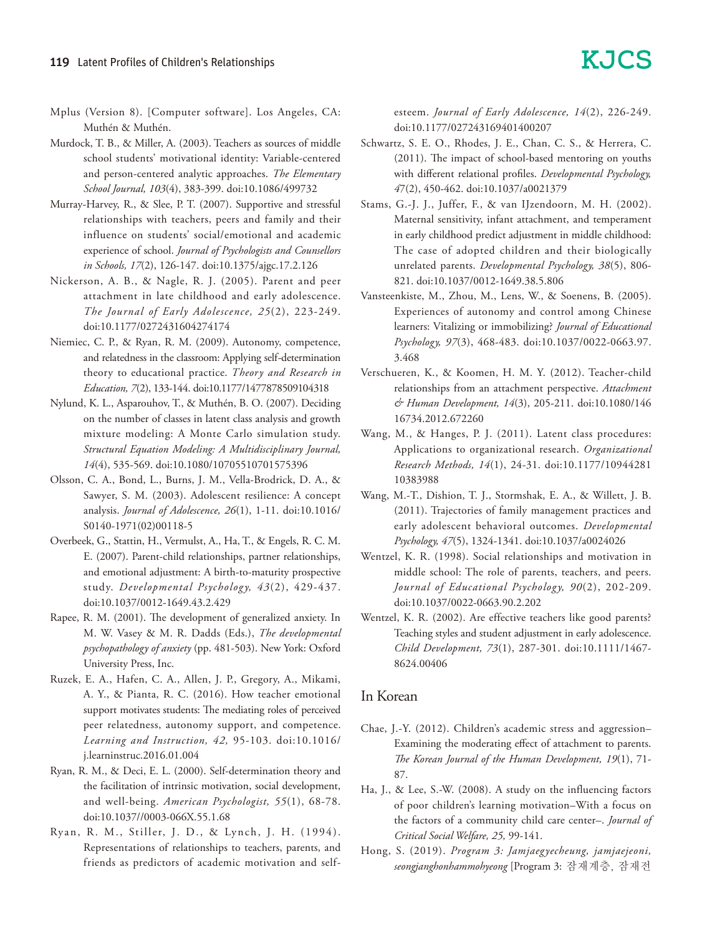- Mplus (Version 8). [Computer software]. Los Angeles, CA: Muthén & Muthén.
- Murdock, T. B., & Miller, A. (2003). Teachers as sources of middle school students' motivational identity: Variable-centered and person-centered analytic approaches. *The Elementary School Journal, 103*(4), 383-399. doi:10.1086/499732
- Murray-Harvey, R., & Slee, P. T. (2007). Supportive and stressful relationships with teachers, peers and family and their influence on students' social/emotional and academic experience of school. *Journal of Psychologists and Counsellors in Schools, 17*(2), 126-147. doi:10.1375/ajgc.17.2.126
- Nickerson, A. B., & Nagle, R. J. (2005). Parent and peer attachment in late childhood and early adolescence. *The Journal of Early Adolescence, 25*(2), 223-249. doi:10.1177/0272431604274174
- Niemiec, C. P., & Ryan, R. M. (2009). Autonomy, competence, and relatedness in the classroom: Applying self-determination theory to educational practice. *Theory and Research in Education, 7*(2), 133-144. doi:10.1177/1477878509104318
- Nylund, K. L., Asparouhov, T., & Muthén, B. O. (2007). Deciding on the number of classes in latent class analysis and growth mixture modeling: A Monte Carlo simulation study. *Structural Equation Modeling: A Multidisciplinary Journal, 14*(4), 535-569. doi:10.1080/10705510701575396
- Olsson, C. A., Bond, L., Burns, J. M., Vella-Brodrick, D. A., & Sawyer, S. M. (2003). Adolescent resilience: A concept analysis. *Journal of Adolescence, 26*(1), 1-11. doi:10.1016/ S0140-1971(02)00118-5
- Overbeek, G., Stattin, H., Vermulst, A., Ha, T., & Engels, R. C. M. E. (2007). Parent-child relationships, partner relationships, and emotional adjustment: A birth-to-maturity prospective study. *Developmental Psychology, 43*(2), 429-437. doi:10.1037/0012-1649.43.2.429
- Rapee, R. M. (2001). The development of generalized anxiety. In M. W. Vasey & M. R. Dadds (Eds.), *The developmental psychopathology of anxiety* (pp. 481-503). New York: Oxford University Press, Inc.
- Ruzek, E. A., Hafen, C. A., Allen, J. P., Gregory, A., Mikami, A. Y., & Pianta, R. C. (2016). How teacher emotional support motivates students: The mediating roles of perceived peer relatedness, autonomy support, and competence. *Learning and Instruction, 42,* 95-103. doi:10.1016/ j.learninstruc.2016.01.004
- Ryan, R. M., & Deci, E. L. (2000). Self-determination theory and the facilitation of intrinsic motivation, social development, and well-being. *American Psychologist, 55*(1), 68-78. doi:10.1037//0003-066X.55.1.68
- Ryan, R. M., Stiller, J. D., & Lynch, J. H. (1994). Representations of relationships to teachers, parents, and friends as predictors of academic motivation and self-

esteem. *Journal of Early Adolescence, 14*(2), 226-249. doi:10.1177/027243169401400207

- Schwartz, S. E. O., Rhodes, J. E., Chan, C. S., & Herrera, C. (2011). The impact of school-based mentoring on youths with different relational profiles. *Developmental Psychology, 4*7(2), 450-462. doi:10.1037/a0021379
- Stams, G.-J. J., Juffer, F., & van IJzendoorn, M. H. (2002). Maternal sensitivity, infant attachment, and temperament in early childhood predict adjustment in middle childhood: The case of adopted children and their biologically unrelated parents. *Developmental Psychology, 38*(5), 806- 821. doi:10.1037/0012-1649.38.5.806
- Vansteenkiste, M., Zhou, M., Lens, W., & Soenens, B. (2005). Experiences of autonomy and control among Chinese learners: Vitalizing or immobilizing? *Journal of Educational Psychology, 97*(3), 468-483. doi:10.1037/0022-0663.97. 3.468
- Verschueren, K., & Koomen, H. M. Y. (2012). Teacher-child relationships from an attachment perspective. *Attachment & Human Development, 14*(3), 205-211. doi:10.1080/146 16734.2012.672260
- Wang, M., & Hanges, P. J. (2011). Latent class procedures: Applications to organizational research. *Organizational Research Methods, 14*(1), 24-31. doi:10.1177/10944281 10383988
- Wang, M.-T., Dishion, T. J., Stormshak, E. A., & Willett, J. B. (2011). Trajectories of family management practices and early adolescent behavioral outcomes. *Developmental Psychology, 47*(5), 1324-1341. doi:10.1037/a0024026
- Wentzel, K. R. (1998). Social relationships and motivation in middle school: The role of parents, teachers, and peers. *Journal of Educational Psychology, 90*(2), 202-209. doi:10.1037/0022-0663.90.2.202
- Wentzel, K. R. (2002). Are effective teachers like good parents? Teaching styles and student adjustment in early adolescence. *Child Development, 73*(1), 287-301. doi:10.1111/1467- 8624.00406

#### In Korean

- Chae, J.-Y. (2012). Children's academic stress and aggression– Examining the moderating effect of attachment to parents. *The Korean Journal of the Human Development, 19*(1), 71- 87.
- Ha, J., & Lee, S.-W. (2008). A study on the influencing factors of poor children's learning motivation–With a focus on the factors of a community child care center–. *Journal of Critical Social Welfare, 25,* 99-141.
- Hong, S. (2019). *Program 3: Jamjaegyecheung, jamjaejeoni, seongjanghonhammohyeong* [Program 3: 잠재계층, 잠재전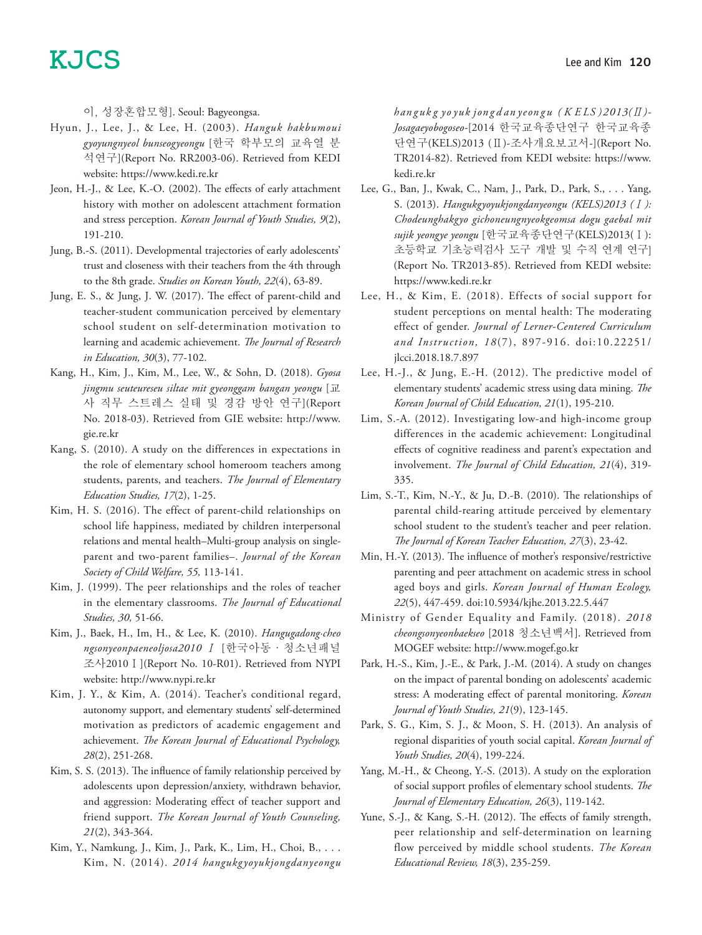이, 성장혼합모형]. Seoul: Bagyeongsa.

- Hyun, J., Lee, J., & Lee, H. (2003). *Hanguk hakbumoui gyoyungnyeol bunseogyeongu* [한국 학부모의 교육열 분 석연구](Report No. RR2003-06). Retrieved from KEDI website: https://www.kedi.re.kr
- Jeon, H.-J., & Lee, K.-O. (2002). The effects of early attachment history with mother on adolescent attachment formation and stress perception. *Korean Journal of Youth Studies, 9*(2), 191-210.
- Jung, B.-S. (2011). Developmental trajectories of early adolescents' trust and closeness with their teachers from the 4th through to the 8th grade. *Studies on Korean Youth, 22*(4), 63-89.
- Jung, E. S., & Jung, J. W. (2017). The effect of parent-child and teacher-student communication perceived by elementary school student on self-determination motivation to learning and academic achievement. *The Journal of Research in Education, 30*(3), 77-102.
- Kang, H., Kim, J., Kim, M., Lee, W., & Sohn, D. (2018). *Gyosa jingmu seuteureseu siltae mit gyeonggam bangan yeongu* [교 사 직무 스트레스 실태 및 경감 방안 연구](Report No. 2018-03). Retrieved from GIE website: http://www. gie.re.kr
- Kang, S. (2010). A study on the differences in expectations in the role of elementary school homeroom teachers among students, parents, and teachers. *The Journal of Elementary Education Studies, 17*(2), 1-25.
- Kim, H. S. (2016). The effect of parent-child relationships on school life happiness, mediated by children interpersonal relations and mental health–Multi-group analysis on singleparent and two-parent families–. *Journal of the Korean Society of Child Welfare, 55,* 113-141.
- Kim, J. (1999). The peer relationships and the roles of teacher in the elementary classrooms. *The Journal of Educational Studies, 30,* 51-66.
- Kim, J., Baek, H., Im, H., & Lee, K. (2010). *Hangugadong·cheo ngsonyeonpaeneoljosa2010* Ⅰ [한국아동·청소년패널 조사2010Ⅰ](Report No. 10-R01). Retrieved from NYPI website: http://www.nypi.re.kr
- Kim, J. Y., & Kim, A. (2014). Teacher's conditional regard, autonomy support, and elementary students' self-determined motivation as predictors of academic engagement and achievement. *The Korean Journal of Educational Psychology, 28*(2), 251-268.
- Kim, S. S. (2013). The influence of family relationship perceived by adolescents upon depression/anxiety, withdrawn behavior, and aggression: Moderating effect of teacher support and friend support. *The Korean Journal of Youth Counseling, 21*(2), 343-364.
- Kim, Y., Namkung, J., Kim, J., Park, K., Lim, H., Choi, B., . . . Kim, N. (2014). *2014 hangukgyoyukjongdanyeongu*

*han guk g yo yuk jon g d an yeon gu ( K E LS )2013(*Ⅱ*)- Josagaeyobogoseo-*[2014 한국교육종단연구 한국교육종 단연구(KELS)2013 (Ⅱ)-조사개요보고서-](Report No. TR2014-82). Retrieved from KEDI website: https://www. kedi.re.kr

- Lee, G., Ban, J., Kwak, C., Nam, J., Park, D., Park, S., . . . Yang, S. (2013). *Hangukgyoyukjongdanyeongu (KELS)2013 (*Ⅰ*): Chodeunghakgyo gichoneungnyeokgeomsa dogu gaebal mit sujik yeongye yeongu* [한국교육종단연구(KELS)2013(Ⅰ): 초등학교 기초능력검사 도구 개발 및 수직 연계 연구] (Report No. TR2013-85). Retrieved from KEDI website: https://www.kedi.re.kr
- Lee, H., & Kim, E. (2018). Effects of social support for student perceptions on mental health: The moderating effect of gender. *Journal of Lerner-Centered Curriculum and Instruction, 18*(7), 897-916. doi:10.22251/ jlcci.2018.18.7.897
- Lee, H.-J., & Jung, E.-H. (2012). The predictive model of elementary students' academic stress using data mining. *The Korean Journal of Child Education, 21*(1), 195-210.
- Lim, S.-A. (2012). Investigating low-and high-income group differences in the academic achievement: Longitudinal effects of cognitive readiness and parent's expectation and involvement. *The Journal of Child Education, 21*(4), 319- 335.
- Lim, S.-T., Kim, N.-Y., & Ju, D.-B. (2010). The relationships of parental child-rearing attitude perceived by elementary school student to the student's teacher and peer relation. *The Journal of Korean Teacher Education, 27*(3), 23-42.
- Min, H.-Y. (2013). The influence of mother's responsive/restrictive parenting and peer attachment on academic stress in school aged boys and girls. *Korean Journal of Human Ecology, 22*(5), 447-459. doi:10.5934/kjhe.2013.22.5.447
- Ministry of Gender Equality and Family. (2018). *2018 cheongsonyeonbaekseo* [2018 청소년백서]. Retrieved from MOGEF website: http://www.mogef.go.kr
- Park, H.-S., Kim, J.-E., & Park, J.-M. (2014). A study on changes on the impact of parental bonding on adolescents' academic stress: A moderating effect of parental monitoring. *Korean Journal of Youth Studies, 21*(9), 123-145.
- Park, S. G., Kim, S. J., & Moon, S. H. (2013). An analysis of regional disparities of youth social capital. *Korean Journal of Youth Studies, 20*(4), 199-224.
- Yang, M.-H., & Cheong, Y.-S. (2013). A study on the exploration of social support profiles of elementary school students. *The Journal of Elementary Education, 26*(3), 119-142.
- Yune, S.-J., & Kang, S.-H. (2012). The effects of family strength, peer relationship and self-determination on learning flow perceived by middle school students. *The Korean Educational Review, 18*(3), 235-259.